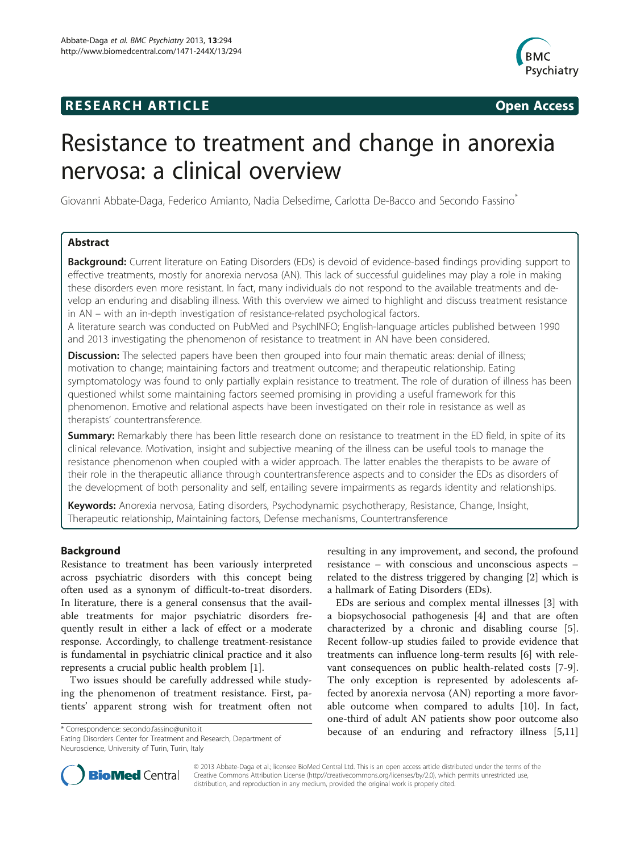## **RESEARCH ARTICLE Example 2014 CONSIDERING CONSIDERING CONSIDERING CONSIDERING CONSIDERING CONSIDERING CONSIDERING CONSIDERING CONSIDERING CONSIDERING CONSIDERING CONSIDERING CONSIDERING CONSIDERING CONSIDERING CONSIDE**



# Resistance to treatment and change in anorexia nervosa: a clinical overview

Giovanni Abbate-Daga, Federico Amianto, Nadia Delsedime, Carlotta De-Bacco and Secondo Fassino\*

## Abstract

**Background:** Current literature on Eating Disorders (EDs) is devoid of evidence-based findings providing support to effective treatments, mostly for anorexia nervosa (AN). This lack of successful guidelines may play a role in making these disorders even more resistant. In fact, many individuals do not respond to the available treatments and develop an enduring and disabling illness. With this overview we aimed to highlight and discuss treatment resistance in AN – with an in-depth investigation of resistance-related psychological factors.

A literature search was conducted on PubMed and PsychINFO; English-language articles published between 1990 and 2013 investigating the phenomenon of resistance to treatment in AN have been considered.

**Discussion:** The selected papers have been then grouped into four main thematic areas: denial of illness; motivation to change; maintaining factors and treatment outcome; and therapeutic relationship. Eating symptomatology was found to only partially explain resistance to treatment. The role of duration of illness has been questioned whilst some maintaining factors seemed promising in providing a useful framework for this phenomenon. Emotive and relational aspects have been investigated on their role in resistance as well as therapists' countertransference.

Summary: Remarkably there has been little research done on resistance to treatment in the ED field, in spite of its clinical relevance. Motivation, insight and subjective meaning of the illness can be useful tools to manage the resistance phenomenon when coupled with a wider approach. The latter enables the therapists to be aware of their role in the therapeutic alliance through countertransference aspects and to consider the EDs as disorders of the development of both personality and self, entailing severe impairments as regards identity and relationships.

Keywords: Anorexia nervosa, Eating disorders, Psychodynamic psychotherapy, Resistance, Change, Insight, Therapeutic relationship, Maintaining factors, Defense mechanisms, Countertransference

## Background

Resistance to treatment has been variously interpreted across psychiatric disorders with this concept being often used as a synonym of difficult-to-treat disorders. In literature, there is a general consensus that the available treatments for major psychiatric disorders frequently result in either a lack of effect or a moderate response. Accordingly, to challenge treatment-resistance is fundamental in psychiatric clinical practice and it also represents a crucial public health problem [[1\]](#page-13-0).

Two issues should be carefully addressed while studying the phenomenon of treatment resistance. First, patients' apparent strong wish for treatment often not

Eating Disorders Center for Treatment and Research, Department of Neuroscience, University of Turin, Turin, Italy

resulting in any improvement, and second, the profound resistance – with conscious and unconscious aspects – related to the distress triggered by changing [\[2](#page-13-0)] which is a hallmark of Eating Disorders (EDs).

EDs are serious and complex mental illnesses [\[3\]](#page-13-0) with a biopsychosocial pathogenesis [\[4](#page-13-0)] and that are often characterized by a chronic and disabling course [\[5](#page-13-0)]. Recent follow-up studies failed to provide evidence that treatments can influence long-term results [\[6](#page-13-0)] with relevant consequences on public health-related costs [[7-9](#page-13-0)]. The only exception is represented by adolescents affected by anorexia nervosa (AN) reporting a more favorable outcome when compared to adults [\[10\]](#page-13-0). In fact, one-third of adult AN patients show poor outcome also because of an enduring and refractory illness [[5](#page-13-0),[11](#page-13-0)] \* Correspondence: [secondo.fassino@unito.it](mailto:secondo.fassino@unito.it)



© 2013 Abbate-Daga et al.; licensee BioMed Central Ltd. This is an open access article distributed under the terms of the Creative Commons Attribution License (<http://creativecommons.org/licenses/by/2.0>), which permits unrestricted use, distribution, and reproduction in any medium, provided the original work is properly cited.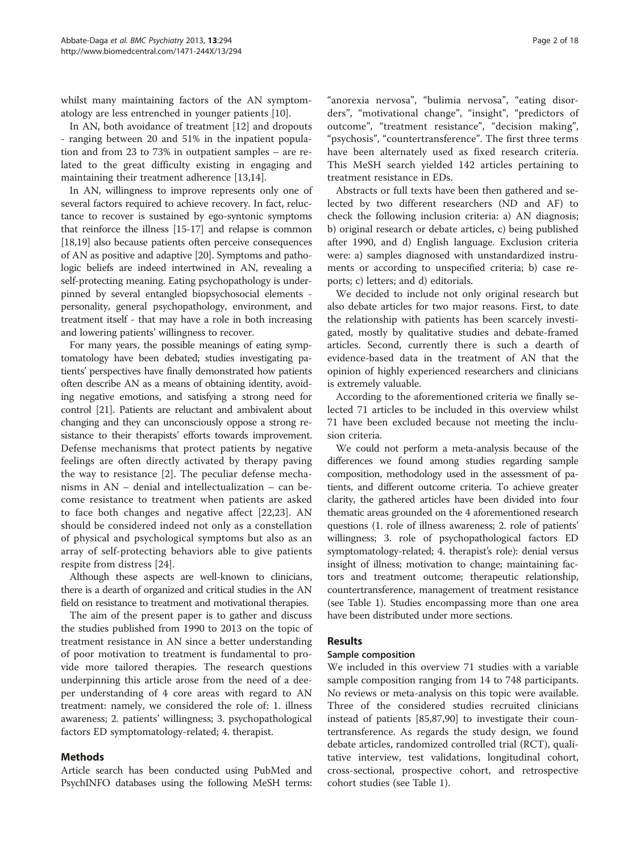whilst many maintaining factors of the AN symptomatology are less entrenched in younger patients [[10\]](#page-13-0).

In AN, both avoidance of treatment [\[12](#page-13-0)] and dropouts - ranging between 20 and 51% in the inpatient population and from 23 to 73% in outpatient samples – are related to the great difficulty existing in engaging and maintaining their treatment adherence [\[13,14\]](#page-13-0).

In AN, willingness to improve represents only one of several factors required to achieve recovery. In fact, reluctance to recover is sustained by ego-syntonic symptoms that reinforce the illness [\[15](#page-13-0)[-17\]](#page-14-0) and relapse is common [[18,19](#page-14-0)] also because patients often perceive consequences of AN as positive and adaptive [\[20](#page-14-0)]. Symptoms and pathologic beliefs are indeed intertwined in AN, revealing a self-protecting meaning. Eating psychopathology is underpinned by several entangled biopsychosocial elements personality, general psychopathology, environment, and treatment itself - that may have a role in both increasing and lowering patients' willingness to recover.

For many years, the possible meanings of eating symptomatology have been debated; studies investigating patients' perspectives have finally demonstrated how patients often describe AN as a means of obtaining identity, avoiding negative emotions, and satisfying a strong need for control [\[21\]](#page-14-0). Patients are reluctant and ambivalent about changing and they can unconsciously oppose a strong resistance to their therapists' efforts towards improvement. Defense mechanisms that protect patients by negative feelings are often directly activated by therapy paving the way to resistance [\[2](#page-13-0)]. The peculiar defense mechanisms in AN – denial and intellectualization – can become resistance to treatment when patients are asked to face both changes and negative affect [\[22](#page-14-0),[23\]](#page-14-0). AN should be considered indeed not only as a constellation of physical and psychological symptoms but also as an array of self-protecting behaviors able to give patients respite from distress [\[24](#page-14-0)].

Although these aspects are well-known to clinicians, there is a dearth of organized and critical studies in the AN field on resistance to treatment and motivational therapies.

The aim of the present paper is to gather and discuss the studies published from 1990 to 2013 on the topic of treatment resistance in AN since a better understanding of poor motivation to treatment is fundamental to provide more tailored therapies. The research questions underpinning this article arose from the need of a deeper understanding of 4 core areas with regard to AN treatment: namely, we considered the role of: 1. illness awareness; 2. patients' willingness; 3. psychopathological factors ED symptomatology-related; 4. therapist.

#### Methods

Article search has been conducted using PubMed and PsychINFO databases using the following MeSH terms:

"anorexia nervosa", "bulimia nervosa", "eating disorders", "motivational change", "insight", "predictors of outcome", "treatment resistance", "decision making", "psychosis", "countertransference". The first three terms have been alternately used as fixed research criteria. This MeSH search yielded 142 articles pertaining to treatment resistance in EDs.

Abstracts or full texts have been then gathered and selected by two different researchers (ND and AF) to check the following inclusion criteria: a) AN diagnosis; b) original research or debate articles, c) being published after 1990, and d) English language. Exclusion criteria were: a) samples diagnosed with unstandardized instruments or according to unspecified criteria; b) case reports; c) letters; and d) editorials.

We decided to include not only original research but also debate articles for two major reasons. First, to date the relationship with patients has been scarcely investigated, mostly by qualitative studies and debate-framed articles. Second, currently there is such a dearth of evidence-based data in the treatment of AN that the opinion of highly experienced researchers and clinicians is extremely valuable.

According to the aforementioned criteria we finally selected 71 articles to be included in this overview whilst 71 have been excluded because not meeting the inclusion criteria.

We could not perform a meta-analysis because of the differences we found among studies regarding sample composition, methodology used in the assessment of patients, and different outcome criteria. To achieve greater clarity, the gathered articles have been divided into four thematic areas grounded on the 4 aforementioned research questions (1. role of illness awareness; 2. role of patients' willingness; 3. role of psychopathological factors ED symptomatology-related; 4. therapist's role): denial versus insight of illness; motivation to change; maintaining factors and treatment outcome; therapeutic relationship, countertransference, management of treatment resistance (see Table [1](#page-2-0)). Studies encompassing more than one area have been distributed under more sections.

## Results

## Sample composition

We included in this overview 71 studies with a variable sample composition ranging from 14 to 748 participants. No reviews or meta-analysis on this topic were available. Three of the considered studies recruited clinicians instead of patients [\[85,87,90\]](#page-15-0) to investigate their countertransference. As regards the study design, we found debate articles, randomized controlled trial (RCT), qualitative interview, test validations, longitudinal cohort, cross-sectional, prospective cohort, and retrospective cohort studies (see Table [1\)](#page-2-0).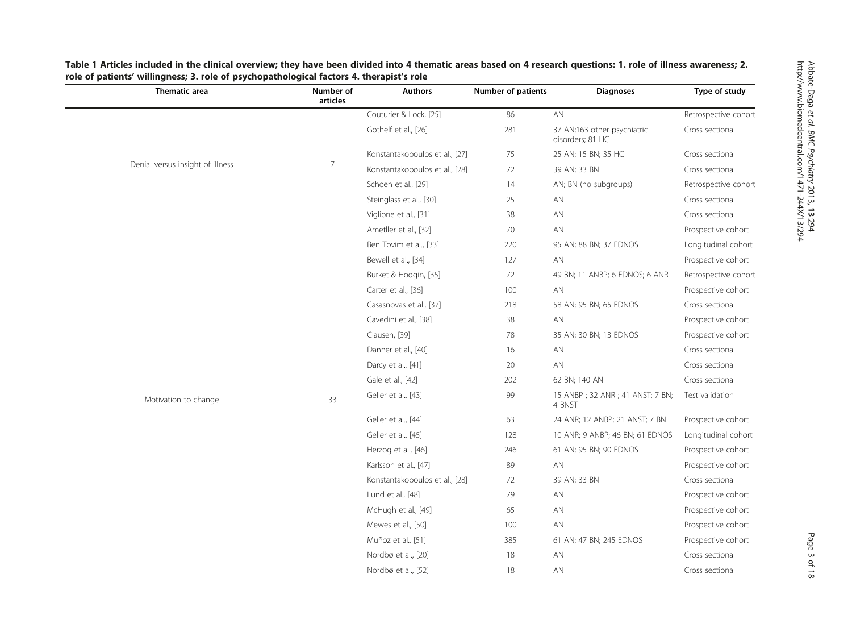| <b>Authors</b>                 | Number of patients | <b>Diagnoses</b>                                | Type of study        |
|--------------------------------|--------------------|-------------------------------------------------|----------------------|
| Couturier & Lock, [25]         | 86                 | <b>AN</b>                                       | Retrospective cohort |
| Gothelf et al., [26]           | 281                | 37 AN;163 other psychiatric<br>disorders; 81 HC | Cross sectional      |
| Konstantakopoulos et al., [27] | 75                 | 25 AN; 15 BN; 35 HC                             | Cross sectional      |
| Konstantakopoulos et al., [28] | 72                 | 39 AN; 33 BN                                    | Cross sectional      |
| Schoen et al., [29]            | 14                 | AN; BN (no subgroups)                           | Retrospective cohort |
| Steinglass et al., [30]        | 25                 | AN                                              | Cross sectional      |
| Viglione et al., [31]          | 38                 | AN                                              | Cross sectional      |
| Ametller et al., [32]          | 70                 | AN                                              | Prospective cohort   |
| Ben Tovim et al., [33]         | 220                | 95 AN; 88 BN; 37 EDNOS                          | Longitudinal cohort  |
| Bewell et al., [34]            | 127                | AN                                              | Prospective cohort   |
| Burket & Hodgin, [35]          | 72                 | 49 BN; 11 ANBP; 6 EDNOS; 6 ANR                  | Retrospective cohort |
| Carter et al., [36]            | 100                | AN                                              | Prospective cohort   |
| Casasnovas et al., [37]        | 218                | 58 AN; 95 BN; 65 EDNOS                          | Cross sectional      |
| Cavedini et al., [38]          | 38                 | <b>AN</b>                                       | Prospective cohort   |
| Clausen, [39]                  | 78                 | 35 AN; 30 BN; 13 EDNOS                          | Prospective cohort   |
| Danner et al., [40]            | 16                 | <b>AN</b>                                       | Cross sectional      |
| Darcy et al., [41]             | 20                 | AN                                              | Cross sectional      |
| Gale et al., [42]              | 202                | 62 BN; 140 AN                                   | Cross sectional      |
| Geller et al., [43]            | 99                 | 15 ANBP; 32 ANR; 41 ANST; 7 BN;<br>4 BNST       | Test validation      |
| Geller et al., [44]            | 63                 | 24 ANR; 12 ANBP; 21 ANST; 7 BN                  | Prospective cohort   |
| Geller et al., [45]            | 128                | 10 ANR; 9 ANBP; 46 BN; 61 EDNOS                 | Longitudinal cohort  |
| Herzog et al., [46]            | 246                | 61 AN; 95 BN; 90 EDNOS                          | Prospective cohort   |
| Karlsson et al., [47]          | 89                 | <b>AN</b>                                       | Prospective cohort   |
| Konstantakopoulos et al., [28] | 72                 | 39 AN; 33 BN                                    | Cross sectional      |

Lund et al., [[48](#page-14-0)] 79 AN Prospective cohort McHugh et al., [[49](#page-14-0)] 65 AN Prospective cohort Mewes et al., [[50](#page-14-0)] 100 AN Prospective cohort Muñoz et al., [\[51\]](#page-14-0) 385 61 AN; 47 BN; 245 EDNOS Prospective cohort Nordbø et al., [[20\]](#page-14-0) 18 AN AN Cross sectional Nordbø et al., [[52\]](#page-14-0) 18 AN AN Cross sectional

<span id="page-2-0"></span>

| Table 1 Articles included in the clinical overview; they have been divided into 4 thematic areas based on 4 research questions: 1. role of illness awareness; 2. |
|------------------------------------------------------------------------------------------------------------------------------------------------------------------|
| role of patients' willingness; 3. role of psychopathological factors 4. therapist's role                                                                         |

Motivation to change 33

Thematic area **Number of** Number of

Denial versus insight of illness **7** 

articles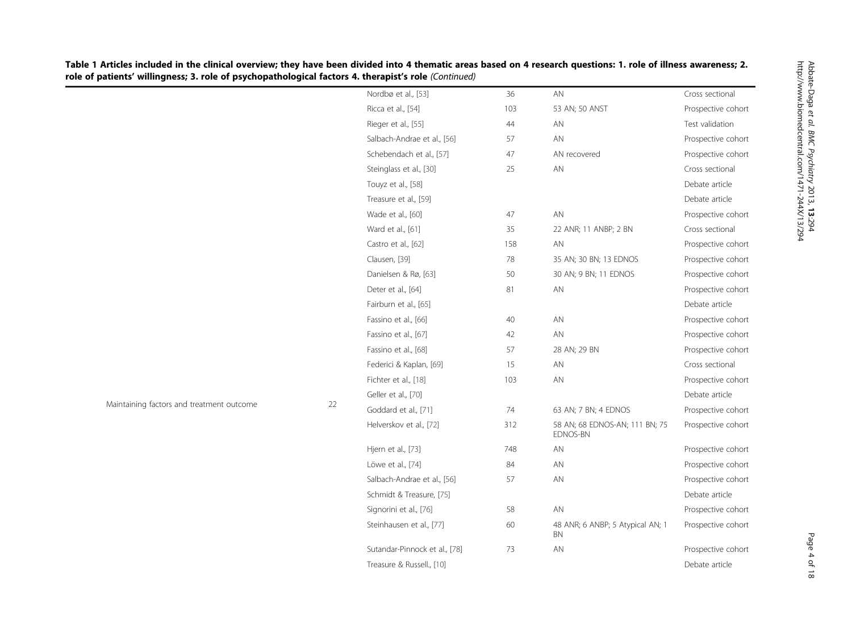|                                           |    | Nordbø et al., [53]           | 36  | AN                                            | Cross sectional    |
|-------------------------------------------|----|-------------------------------|-----|-----------------------------------------------|--------------------|
|                                           |    | Ricca et al., [54]            | 103 | 53 AN; 50 ANST                                | Prospective cohort |
|                                           |    | Rieger et al., [55]           | 44  | AN                                            | Test validation    |
|                                           |    | Salbach-Andrae et al., [56]   | 57  | AN                                            | Prospective cohort |
|                                           |    | Schebendach et al., [57]      | 47  | AN recovered                                  | Prospective cohort |
|                                           |    | Steinglass et al., [30]       | 25  | AN                                            | Cross sectional    |
|                                           |    | Touyz et al., [58]            |     |                                               | Debate article     |
|                                           |    | Treasure et al., [59]         |     |                                               | Debate article     |
|                                           |    | Wade et al., [60]             | 47  | AN                                            | Prospective cohort |
|                                           |    | Ward et al., [61]             | 35  | 22 ANR; 11 ANBP; 2 BN                         | Cross sectional    |
|                                           |    | Castro et al., [62]           | 158 | AN                                            | Prospective cohort |
|                                           |    | Clausen, [39]                 | 78  | 35 AN; 30 BN; 13 EDNOS                        | Prospective cohort |
|                                           |    | Danielsen & Rø, [63]          | 50  | 30 AN; 9 BN; 11 EDNOS                         | Prospective cohort |
|                                           |    | Deter et al., [64]            | 81  | AN                                            | Prospective cohort |
|                                           |    | Fairburn et al., [65]         |     |                                               | Debate article     |
|                                           |    | Fassino et al., [66]          | 40  | AN                                            | Prospective cohort |
|                                           |    | Fassino et al., [67]          | 42  | <b>AN</b>                                     | Prospective cohort |
|                                           |    | Fassino et al., [68]          | 57  | 28 AN; 29 BN                                  | Prospective cohort |
|                                           |    | Federici & Kaplan, [69]       | 15  | <b>AN</b>                                     | Cross sectional    |
|                                           |    | Fichter et al., [18]          | 103 | AN                                            | Prospective cohort |
|                                           |    | Geller et al., [70]           |     |                                               | Debate article     |
| Maintaining factors and treatment outcome | 22 | Goddard et al., [71]          | 74  | 63 AN; 7 BN; 4 EDNOS                          | Prospective cohort |
|                                           |    | Helverskov et al., [72]       | 312 | 58 AN; 68 EDNOS-AN; 111 BN; 75<br>EDNOS-BN    | Prospective cohort |
|                                           |    | Hjern et al., [73]            | 748 | AN                                            | Prospective cohort |
|                                           |    | Löwe et al., [74]             | 84  | <b>AN</b>                                     | Prospective cohort |
|                                           |    | Salbach-Andrae et al., [56]   | 57  | <b>AN</b>                                     | Prospective cohort |
|                                           |    | Schmidt & Treasure, [75]      |     |                                               | Debate article     |
|                                           |    | Signorini et al., [76]        | 58  | AN                                            | Prospective cohort |
|                                           |    | Steinhausen et al., [77]      | 60  | 48 ANR; 6 ANBP; 5 Atypical AN; 1<br><b>BN</b> | Prospective cohort |
|                                           |    | Sutandar-Pinnock et al., [78] | 73  | <b>AN</b>                                     | Prospective cohort |
|                                           |    | Treasure & Russell., [10]     |     |                                               | Debate article     |

Table 1 Articles included in the clinical overview; they have been divided into 4 thematic areas based on 4 research questions: 1. role of illness awareness; 2. role of patients' willingness; 3. role of psychopathological factors 4. therapist's role (Continued)

Page 4 of 18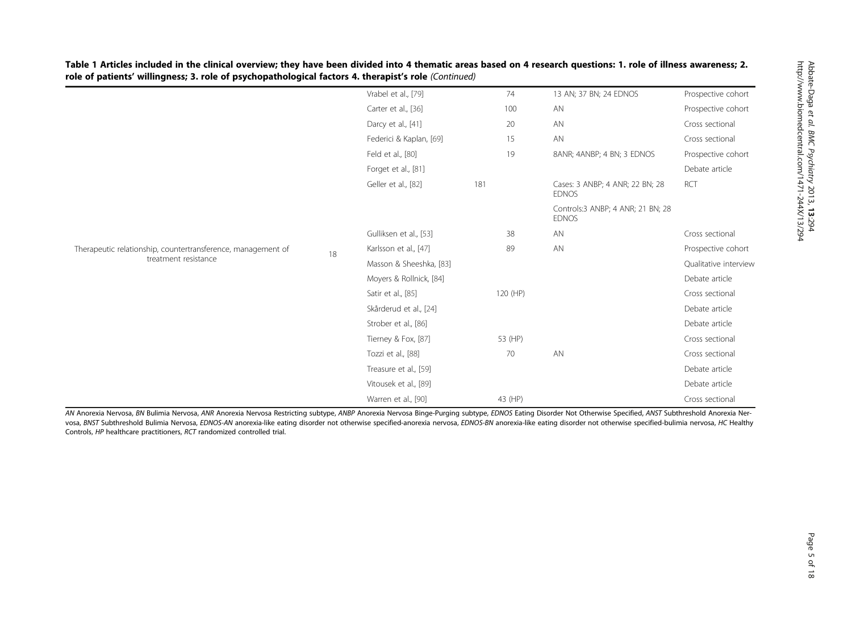|                                                              |    | Vrabel et al., [79]     | 74       | 13 AN; 37 BN; 24 EDNOS                            | Prospective cohort    |
|--------------------------------------------------------------|----|-------------------------|----------|---------------------------------------------------|-----------------------|
|                                                              |    | Carter et al., [36]     | 100      | AN                                                | Prospective cohort    |
|                                                              |    | Darcy et al., [41]      | 20       | AN                                                | Cross sectional       |
|                                                              |    | Federici & Kaplan, [69] | 15       | AN                                                | Cross sectional       |
|                                                              |    | Feld et al., [80]       | 19       | 8ANR; 4ANBP; 4 BN; 3 EDNOS                        | Prospective cohort    |
|                                                              |    | Forget et al., [81]     |          |                                                   | Debate article        |
|                                                              |    | Geller et al., [82]     | 181      | Cases: 3 ANBP; 4 ANR; 22 BN; 28<br><b>EDNOS</b>   | <b>RCT</b>            |
|                                                              |    |                         |          | Controls:3 ANBP; 4 ANR; 21 BN; 28<br><b>EDNOS</b> |                       |
|                                                              |    | Gulliksen et al., [53]  | 38       | AN                                                | Cross sectional       |
| Therapeutic relationship, countertransference, management of | 18 | Karlsson et al., [47]   | 89       | AN                                                | Prospective cohort    |
| treatment resistance                                         |    | Masson & Sheeshka, [83] |          |                                                   | Qualitative interview |
|                                                              |    | Moyers & Rollnick, [84] |          |                                                   | Debate article        |
|                                                              |    | Satir et al., [85]      | 120 (HP) |                                                   | Cross sectional       |
|                                                              |    | Skårderud et al., [24]  |          |                                                   | Debate article        |
|                                                              |    | Strober et al., [86]    |          |                                                   | Debate article        |
|                                                              |    | Tierney & Fox, [87]     | 53 (HP)  |                                                   | Cross sectional       |
|                                                              |    | Tozzi et al., [88]      | 70       | AN                                                | Cross sectional       |
|                                                              |    | Treasure et al., [59]   |          |                                                   | Debate article        |
|                                                              |    | Vitousek et al., [89]   |          |                                                   | Debate article        |
|                                                              |    | Warren et al., [90]     | 43 (HP)  |                                                   | Cross sectional       |

Table 1 Articles included in the clinical overview; they have been divided into 4 thematic areas based on 4 research questions: 1. role of illness awareness; 2. role of patients' willingness; 3. role of psychopathological factors 4. therapist's role (Continued)

AN Anorexia Nervosa, BN Bulimia Nervosa, ANR Anorexia Nervosa Restricting subtype, ANBP Anorexia Nervosa Binge-Purging subtype, EDNOS Eating Disorder Not Otherwise Specified, ANST Subthreshold Anorexia Nervosa, BNST Subthreshold Bulimia Nervosa, EDNOS-AN anorexia-like eating disorder not otherwise specified-anorexia nervosa, EDNOS-BN anorexia-like eating disorder not otherwise specified-bulimia nervosa, HC Healthy Controls, HP healthcare practitioners, RCT randomized controlled trial.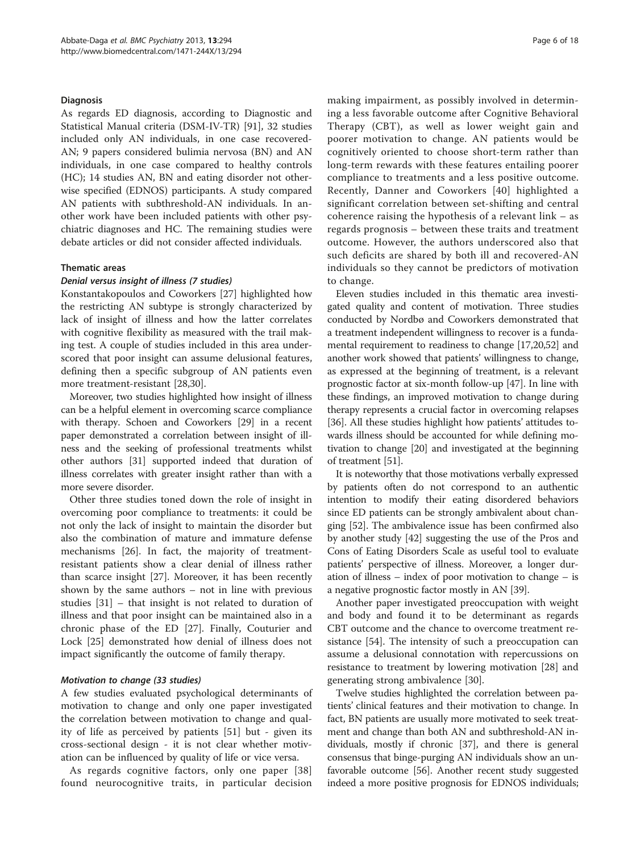#### **Diagnosis**

As regards ED diagnosis, according to Diagnostic and Statistical Manual criteria (DSM-IV-TR) [\[91\]](#page-15-0), 32 studies included only AN individuals, in one case recovered-AN; 9 papers considered bulimia nervosa (BN) and AN individuals, in one case compared to healthy controls (HC); 14 studies AN, BN and eating disorder not otherwise specified (EDNOS) participants. A study compared AN patients with subthreshold-AN individuals. In another work have been included patients with other psychiatric diagnoses and HC. The remaining studies were debate articles or did not consider affected individuals.

#### Thematic areas

#### Denial versus insight of illness (7 studies)

Konstantakopoulos and Coworkers [[27\]](#page-14-0) highlighted how the restricting AN subtype is strongly characterized by lack of insight of illness and how the latter correlates with cognitive flexibility as measured with the trail making test. A couple of studies included in this area underscored that poor insight can assume delusional features, defining then a specific subgroup of AN patients even more treatment-resistant [[28,30\]](#page-14-0).

Moreover, two studies highlighted how insight of illness can be a helpful element in overcoming scarce compliance with therapy. Schoen and Coworkers [\[29\]](#page-14-0) in a recent paper demonstrated a correlation between insight of illness and the seeking of professional treatments whilst other authors [\[31\]](#page-14-0) supported indeed that duration of illness correlates with greater insight rather than with a more severe disorder.

Other three studies toned down the role of insight in overcoming poor compliance to treatments: it could be not only the lack of insight to maintain the disorder but also the combination of mature and immature defense mechanisms [\[26](#page-14-0)]. In fact, the majority of treatmentresistant patients show a clear denial of illness rather than scarce insight [[27\]](#page-14-0). Moreover, it has been recently shown by the same authors – not in line with previous studies [\[31\]](#page-14-0) – that insight is not related to duration of illness and that poor insight can be maintained also in a chronic phase of the ED [[27\]](#page-14-0). Finally, Couturier and Lock [\[25\]](#page-14-0) demonstrated how denial of illness does not impact significantly the outcome of family therapy.

#### Motivation to change (33 studies)

A few studies evaluated psychological determinants of motivation to change and only one paper investigated the correlation between motivation to change and quality of life as perceived by patients [\[51\]](#page-14-0) but - given its cross-sectional design - it is not clear whether motivation can be influenced by quality of life or vice versa.

As regards cognitive factors, only one paper [[38](#page-14-0)] found neurocognitive traits, in particular decision

making impairment, as possibly involved in determining a less favorable outcome after Cognitive Behavioral Therapy (CBT), as well as lower weight gain and poorer motivation to change. AN patients would be cognitively oriented to choose short-term rather than long-term rewards with these features entailing poorer compliance to treatments and a less positive outcome. Recently, Danner and Coworkers [[40\]](#page-14-0) highlighted a significant correlation between set-shifting and central coherence raising the hypothesis of a relevant link – as regards prognosis – between these traits and treatment outcome. However, the authors underscored also that such deficits are shared by both ill and recovered-AN individuals so they cannot be predictors of motivation to change.

Eleven studies included in this thematic area investigated quality and content of motivation. Three studies conducted by Nordbø and Coworkers demonstrated that a treatment independent willingness to recover is a fundamental requirement to readiness to change [\[17,20,52\]](#page-14-0) and another work showed that patients' willingness to change, as expressed at the beginning of treatment, is a relevant prognostic factor at six-month follow-up [\[47](#page-14-0)]. In line with these findings, an improved motivation to change during therapy represents a crucial factor in overcoming relapses [[36](#page-14-0)]. All these studies highlight how patients' attitudes towards illness should be accounted for while defining motivation to change [\[20](#page-14-0)] and investigated at the beginning of treatment [\[51\]](#page-14-0).

It is noteworthy that those motivations verbally expressed by patients often do not correspond to an authentic intention to modify their eating disordered behaviors since ED patients can be strongly ambivalent about changing [\[52\]](#page-14-0). The ambivalence issue has been confirmed also by another study [\[42\]](#page-14-0) suggesting the use of the Pros and Cons of Eating Disorders Scale as useful tool to evaluate patients' perspective of illness. Moreover, a longer duration of illness – index of poor motivation to change – is a negative prognostic factor mostly in AN [\[39\]](#page-14-0).

Another paper investigated preoccupation with weight and body and found it to be determinant as regards CBT outcome and the chance to overcome treatment resistance [\[54](#page-14-0)]. The intensity of such a preoccupation can assume a delusional connotation with repercussions on resistance to treatment by lowering motivation [[28\]](#page-14-0) and generating strong ambivalence [[30\]](#page-14-0).

Twelve studies highlighted the correlation between patients' clinical features and their motivation to change. In fact, BN patients are usually more motivated to seek treatment and change than both AN and subthreshold-AN individuals, mostly if chronic [\[37](#page-14-0)], and there is general consensus that binge-purging AN individuals show an unfavorable outcome [[56](#page-14-0)]. Another recent study suggested indeed a more positive prognosis for EDNOS individuals;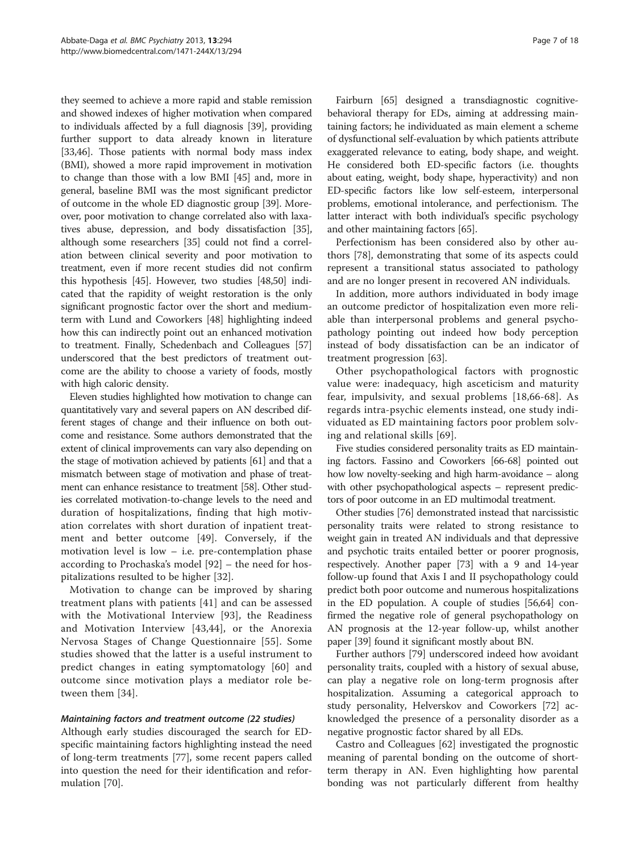they seemed to achieve a more rapid and stable remission and showed indexes of higher motivation when compared to individuals affected by a full diagnosis [[39](#page-14-0)], providing further support to data already known in literature [[33,46](#page-14-0)]. Those patients with normal body mass index (BMI), showed a more rapid improvement in motivation to change than those with a low BMI [\[45](#page-14-0)] and, more in general, baseline BMI was the most significant predictor of outcome in the whole ED diagnostic group [\[39\]](#page-14-0). Moreover, poor motivation to change correlated also with laxatives abuse, depression, and body dissatisfaction [[35](#page-14-0)], although some researchers [[35\]](#page-14-0) could not find a correlation between clinical severity and poor motivation to treatment, even if more recent studies did not confirm this hypothesis [[45](#page-14-0)]. However, two studies [\[48,50\]](#page-14-0) indicated that the rapidity of weight restoration is the only significant prognostic factor over the short and mediumterm with Lund and Coworkers [\[48](#page-14-0)] highlighting indeed how this can indirectly point out an enhanced motivation to treatment. Finally, Schedenbach and Colleagues [[57](#page-14-0)] underscored that the best predictors of treatment outcome are the ability to choose a variety of foods, mostly with high caloric density.

Eleven studies highlighted how motivation to change can quantitatively vary and several papers on AN described different stages of change and their influence on both outcome and resistance. Some authors demonstrated that the extent of clinical improvements can vary also depending on the stage of motivation achieved by patients [\[61\]](#page-14-0) and that a mismatch between stage of motivation and phase of treatment can enhance resistance to treatment [\[58](#page-14-0)]. Other studies correlated motivation-to-change levels to the need and duration of hospitalizations, finding that high motivation correlates with short duration of inpatient treatment and better outcome [[49\]](#page-14-0). Conversely, if the motivation level is low – i.e. pre-contemplation phase according to Prochaska's model [[92\]](#page-15-0) – the need for hospitalizations resulted to be higher [[32](#page-14-0)].

Motivation to change can be improved by sharing treatment plans with patients [[41](#page-14-0)] and can be assessed with the Motivational Interview [[93\]](#page-15-0), the Readiness and Motivation Interview [[43,44\]](#page-14-0), or the Anorexia Nervosa Stages of Change Questionnaire [[55\]](#page-14-0). Some studies showed that the latter is a useful instrument to predict changes in eating symptomatology [[60](#page-14-0)] and outcome since motivation plays a mediator role between them [[34\]](#page-14-0).

## Maintaining factors and treatment outcome (22 studies)

Although early studies discouraged the search for EDspecific maintaining factors highlighting instead the need of long-term treatments [[77](#page-15-0)], some recent papers called into question the need for their identification and reformulation [\[70](#page-15-0)].

Fairburn [\[65](#page-14-0)] designed a transdiagnostic cognitivebehavioral therapy for EDs, aiming at addressing maintaining factors; he individuated as main element a scheme of dysfunctional self-evaluation by which patients attribute exaggerated relevance to eating, body shape, and weight. He considered both ED-specific factors (i.e. thoughts about eating, weight, body shape, hyperactivity) and non ED-specific factors like low self-esteem, interpersonal problems, emotional intolerance, and perfectionism. The latter interact with both individual's specific psychology and other maintaining factors [\[65](#page-14-0)].

Perfectionism has been considered also by other authors [\[78](#page-15-0)], demonstrating that some of its aspects could represent a transitional status associated to pathology and are no longer present in recovered AN individuals.

In addition, more authors individuated in body image an outcome predictor of hospitalization even more reliable than interpersonal problems and general psychopathology pointing out indeed how body perception instead of body dissatisfaction can be an indicator of treatment progression [\[63](#page-14-0)].

Other psychopathological factors with prognostic value were: inadequacy, high asceticism and maturity fear, impulsivity, and sexual problems [\[18,](#page-14-0)[66](#page-15-0)-[68](#page-15-0)]. As regards intra-psychic elements instead, one study individuated as ED maintaining factors poor problem solving and relational skills [\[69\]](#page-15-0).

Five studies considered personality traits as ED maintaining factors. Fassino and Coworkers [[66](#page-15-0)-[68](#page-15-0)] pointed out how low novelty-seeking and high harm-avoidance – along with other psychopathological aspects – represent predictors of poor outcome in an ED multimodal treatment.

Other studies [[76](#page-15-0)] demonstrated instead that narcissistic personality traits were related to strong resistance to weight gain in treated AN individuals and that depressive and psychotic traits entailed better or poorer prognosis, respectively. Another paper [\[73\]](#page-15-0) with a 9 and 14-year follow-up found that Axis I and II psychopathology could predict both poor outcome and numerous hospitalizations in the ED population. A couple of studies [\[56,64\]](#page-14-0) confirmed the negative role of general psychopathology on AN prognosis at the 12-year follow-up, whilst another paper [\[39\]](#page-14-0) found it significant mostly about BN.

Further authors [[79](#page-15-0)] underscored indeed how avoidant personality traits, coupled with a history of sexual abuse, can play a negative role on long-term prognosis after hospitalization. Assuming a categorical approach to study personality, Helverskov and Coworkers [[72\]](#page-15-0) acknowledged the presence of a personality disorder as a negative prognostic factor shared by all EDs.

Castro and Colleagues [\[62](#page-14-0)] investigated the prognostic meaning of parental bonding on the outcome of shortterm therapy in AN. Even highlighting how parental bonding was not particularly different from healthy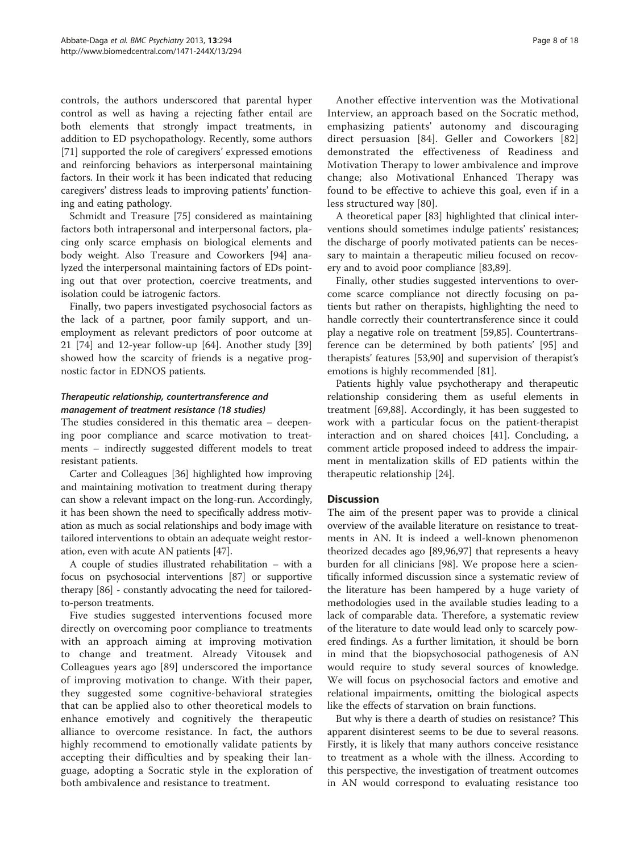controls, the authors underscored that parental hyper control as well as having a rejecting father entail are both elements that strongly impact treatments, in addition to ED psychopathology. Recently, some authors [[71\]](#page-15-0) supported the role of caregivers' expressed emotions and reinforcing behaviors as interpersonal maintaining factors. In their work it has been indicated that reducing caregivers' distress leads to improving patients' functioning and eating pathology.

Schmidt and Treasure [[75\]](#page-15-0) considered as maintaining factors both intrapersonal and interpersonal factors, placing only scarce emphasis on biological elements and body weight. Also Treasure and Coworkers [\[94](#page-15-0)] analyzed the interpersonal maintaining factors of EDs pointing out that over protection, coercive treatments, and isolation could be iatrogenic factors.

Finally, two papers investigated psychosocial factors as the lack of a partner, poor family support, and unemployment as relevant predictors of poor outcome at 21 [[74\]](#page-15-0) and 12-year follow-up [[64\]](#page-14-0). Another study [[39](#page-14-0)] showed how the scarcity of friends is a negative prognostic factor in EDNOS patients.

## Therapeutic relationship, countertransference and management of treatment resistance (18 studies)

The studies considered in this thematic area – deepening poor compliance and scarce motivation to treatments – indirectly suggested different models to treat resistant patients.

Carter and Colleagues [[36\]](#page-14-0) highlighted how improving and maintaining motivation to treatment during therapy can show a relevant impact on the long-run. Accordingly, it has been shown the need to specifically address motivation as much as social relationships and body image with tailored interventions to obtain an adequate weight restoration, even with acute AN patients [\[47](#page-14-0)].

A couple of studies illustrated rehabilitation – with a focus on psychosocial interventions [\[87\]](#page-15-0) or supportive therapy [[86](#page-15-0)] - constantly advocating the need for tailoredto-person treatments.

Five studies suggested interventions focused more directly on overcoming poor compliance to treatments with an approach aiming at improving motivation to change and treatment. Already Vitousek and Colleagues years ago [[89\]](#page-15-0) underscored the importance of improving motivation to change. With their paper, they suggested some cognitive-behavioral strategies that can be applied also to other theoretical models to enhance emotively and cognitively the therapeutic alliance to overcome resistance. In fact, the authors highly recommend to emotionally validate patients by accepting their difficulties and by speaking their language, adopting a Socratic style in the exploration of both ambivalence and resistance to treatment.

Another effective intervention was the Motivational Interview, an approach based on the Socratic method, emphasizing patients' autonomy and discouraging direct persuasion [[84\]](#page-15-0). Geller and Coworkers [\[82](#page-15-0)] demonstrated the effectiveness of Readiness and Motivation Therapy to lower ambivalence and improve change; also Motivational Enhanced Therapy was found to be effective to achieve this goal, even if in a less structured way [[80\]](#page-15-0).

A theoretical paper [[83\]](#page-15-0) highlighted that clinical interventions should sometimes indulge patients' resistances; the discharge of poorly motivated patients can be necessary to maintain a therapeutic milieu focused on recovery and to avoid poor compliance [[83,89\]](#page-15-0).

Finally, other studies suggested interventions to overcome scarce compliance not directly focusing on patients but rather on therapists, highlighting the need to handle correctly their countertransference since it could play a negative role on treatment [\[59,](#page-14-0)[85\]](#page-15-0). Countertransference can be determined by both patients' [[95](#page-15-0)] and therapists' features [\[53](#page-14-0)[,90](#page-15-0)] and supervision of therapist's emotions is highly recommended [\[81](#page-15-0)].

Patients highly value psychotherapy and therapeutic relationship considering them as useful elements in treatment [[69](#page-15-0),[88](#page-15-0)]. Accordingly, it has been suggested to work with a particular focus on the patient-therapist interaction and on shared choices [\[41](#page-14-0)]. Concluding, a comment article proposed indeed to address the impairment in mentalization skills of ED patients within the therapeutic relationship [[24\]](#page-14-0).

## **Discussion**

The aim of the present paper was to provide a clinical overview of the available literature on resistance to treatments in AN. It is indeed a well-known phenomenon theorized decades ago [[89,96,97](#page-15-0)] that represents a heavy burden for all clinicians [\[98](#page-15-0)]. We propose here a scientifically informed discussion since a systematic review of the literature has been hampered by a huge variety of methodologies used in the available studies leading to a lack of comparable data. Therefore, a systematic review of the literature to date would lead only to scarcely powered findings. As a further limitation, it should be born in mind that the biopsychosocial pathogenesis of AN would require to study several sources of knowledge. We will focus on psychosocial factors and emotive and relational impairments, omitting the biological aspects like the effects of starvation on brain functions.

But why is there a dearth of studies on resistance? This apparent disinterest seems to be due to several reasons. Firstly, it is likely that many authors conceive resistance to treatment as a whole with the illness. According to this perspective, the investigation of treatment outcomes in AN would correspond to evaluating resistance too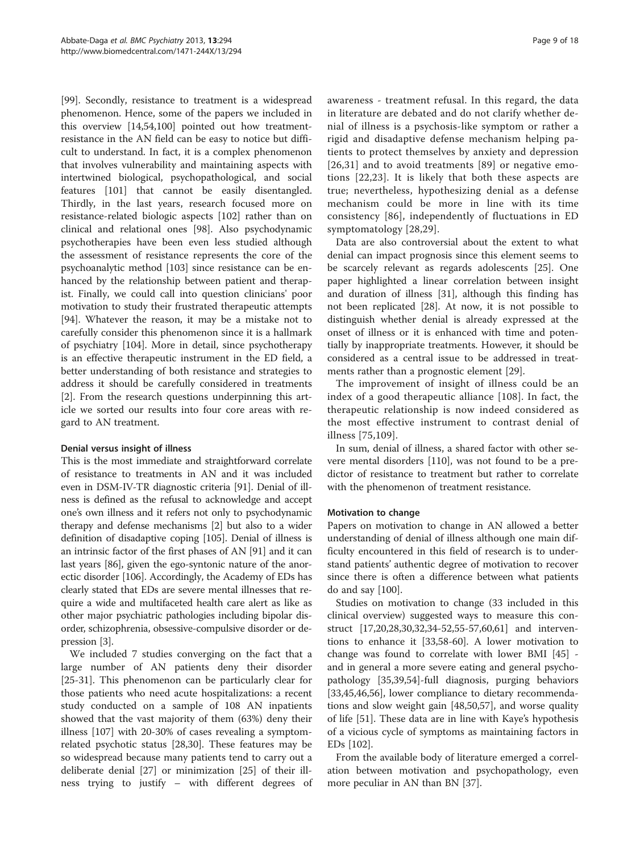[[99\]](#page-15-0). Secondly, resistance to treatment is a widespread phenomenon. Hence, some of the papers we included in this overview [[14,](#page-13-0)[54,](#page-14-0)[100](#page-15-0)] pointed out how treatmentresistance in the AN field can be easy to notice but difficult to understand. In fact, it is a complex phenomenon that involves vulnerability and maintaining aspects with intertwined biological, psychopathological, and social features [[101](#page-15-0)] that cannot be easily disentangled. Thirdly, in the last years, research focused more on resistance-related biologic aspects [[102\]](#page-15-0) rather than on clinical and relational ones [\[98\]](#page-15-0). Also psychodynamic psychotherapies have been even less studied although the assessment of resistance represents the core of the psychoanalytic method [[103](#page-15-0)] since resistance can be enhanced by the relationship between patient and therapist. Finally, we could call into question clinicians' poor motivation to study their frustrated therapeutic attempts [[94\]](#page-15-0). Whatever the reason, it may be a mistake not to carefully consider this phenomenon since it is a hallmark of psychiatry [[104\]](#page-15-0). More in detail, since psychotherapy is an effective therapeutic instrument in the ED field, a better understanding of both resistance and strategies to address it should be carefully considered in treatments [[2\]](#page-13-0). From the research questions underpinning this article we sorted our results into four core areas with regard to AN treatment.

## Denial versus insight of illness

This is the most immediate and straightforward correlate of resistance to treatments in AN and it was included even in DSM-IV-TR diagnostic criteria [[91\]](#page-15-0). Denial of illness is defined as the refusal to acknowledge and accept one's own illness and it refers not only to psychodynamic therapy and defense mechanisms [[2](#page-13-0)] but also to a wider definition of disadaptive coping [\[105](#page-15-0)]. Denial of illness is an intrinsic factor of the first phases of AN [\[91\]](#page-15-0) and it can last years [\[86\]](#page-15-0), given the ego-syntonic nature of the anorectic disorder [[106](#page-15-0)]. Accordingly, the Academy of EDs has clearly stated that EDs are severe mental illnesses that require a wide and multifaceted health care alert as like as other major psychiatric pathologies including bipolar disorder, schizophrenia, obsessive-compulsive disorder or depression [[3\]](#page-13-0).

We included 7 studies converging on the fact that a large number of AN patients deny their disorder [[25-31](#page-14-0)]. This phenomenon can be particularly clear for those patients who need acute hospitalizations: a recent study conducted on a sample of 108 AN inpatients showed that the vast majority of them (63%) deny their illness [\[107](#page-15-0)] with 20-30% of cases revealing a symptomrelated psychotic status [[28,30\]](#page-14-0). These features may be so widespread because many patients tend to carry out a deliberate denial [\[27\]](#page-14-0) or minimization [[25\]](#page-14-0) of their illness trying to justify – with different degrees of

awareness - treatment refusal. In this regard, the data in literature are debated and do not clarify whether denial of illness is a psychosis-like symptom or rather a rigid and disadaptive defense mechanism helping patients to protect themselves by anxiety and depression [[26](#page-14-0),[31\]](#page-14-0) and to avoid treatments [[89](#page-15-0)] or negative emotions [[22,23\]](#page-14-0). It is likely that both these aspects are true; nevertheless, hypothesizing denial as a defense mechanism could be more in line with its time consistency [\[86](#page-15-0)], independently of fluctuations in ED symptomatology [[28,29\]](#page-14-0).

Data are also controversial about the extent to what denial can impact prognosis since this element seems to be scarcely relevant as regards adolescents [\[25](#page-14-0)]. One paper highlighted a linear correlation between insight and duration of illness [[31](#page-14-0)], although this finding has not been replicated [[28\]](#page-14-0). At now, it is not possible to distinguish whether denial is already expressed at the onset of illness or it is enhanced with time and potentially by inappropriate treatments. However, it should be considered as a central issue to be addressed in treatments rather than a prognostic element [[29](#page-14-0)].

The improvement of insight of illness could be an index of a good therapeutic alliance [[108\]](#page-15-0). In fact, the therapeutic relationship is now indeed considered as the most effective instrument to contrast denial of illness [[75](#page-15-0),[109\]](#page-15-0).

In sum, denial of illness, a shared factor with other severe mental disorders [\[110](#page-15-0)], was not found to be a predictor of resistance to treatment but rather to correlate with the phenomenon of treatment resistance.

## Motivation to change

Papers on motivation to change in AN allowed a better understanding of denial of illness although one main difficulty encountered in this field of research is to understand patients' authentic degree of motivation to recover since there is often a difference between what patients do and say [[100](#page-15-0)].

Studies on motivation to change (33 included in this clinical overview) suggested ways to measure this construct [[17,20,28,30,32](#page-14-0),[34](#page-14-0)-[52,55-57,60,61](#page-14-0)] and interventions to enhance it [[33,58-60\]](#page-14-0). A lower motivation to change was found to correlate with lower BMI [\[45\]](#page-14-0) and in general a more severe eating and general psychopathology [[35](#page-14-0),[39,54](#page-14-0)]-full diagnosis, purging behaviors [[33,45,46,56\]](#page-14-0), lower compliance to dietary recommendations and slow weight gain [[48](#page-14-0),[50](#page-14-0),[57](#page-14-0)], and worse quality of life [[51\]](#page-14-0). These data are in line with Kaye's hypothesis of a vicious cycle of symptoms as maintaining factors in EDs [\[102\]](#page-15-0).

From the available body of literature emerged a correlation between motivation and psychopathology, even more peculiar in AN than BN [[37](#page-14-0)].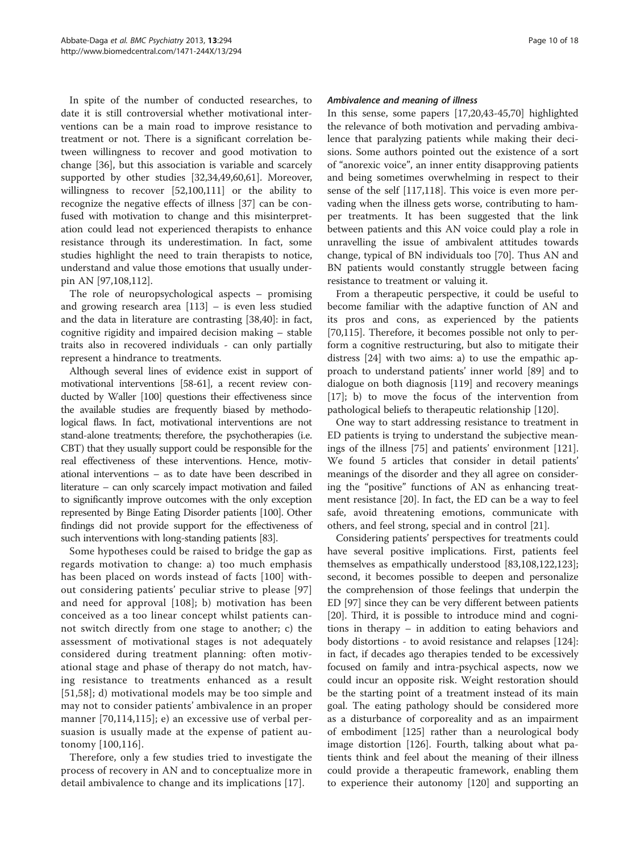In spite of the number of conducted researches, to date it is still controversial whether motivational interventions can be a main road to improve resistance to treatment or not. There is a significant correlation between willingness to recover and good motivation to change [\[36\]](#page-14-0), but this association is variable and scarcely supported by other studies [\[32,34,49,60,61\]](#page-14-0). Moreover, willingness to recover [[52,](#page-14-0)[100](#page-15-0),[111](#page-15-0)] or the ability to recognize the negative effects of illness [[37\]](#page-14-0) can be confused with motivation to change and this misinterpretation could lead not experienced therapists to enhance resistance through its underestimation. In fact, some studies highlight the need to train therapists to notice, understand and value those emotions that usually underpin AN [\[97,108,112\]](#page-15-0).

The role of neuropsychological aspects – promising and growing research area [[113\]](#page-15-0) – is even less studied and the data in literature are contrasting [[38,40\]](#page-14-0): in fact, cognitive rigidity and impaired decision making – stable traits also in recovered individuals - can only partially represent a hindrance to treatments.

Although several lines of evidence exist in support of motivational interventions [\[58-61\]](#page-14-0), a recent review conducted by Waller [[100\]](#page-15-0) questions their effectiveness since the available studies are frequently biased by methodological flaws. In fact, motivational interventions are not stand-alone treatments; therefore, the psychotherapies (i.e. CBT) that they usually support could be responsible for the real effectiveness of these interventions. Hence, motivational interventions – as to date have been described in literature – can only scarcely impact motivation and failed to significantly improve outcomes with the only exception represented by Binge Eating Disorder patients [[100\]](#page-15-0). Other findings did not provide support for the effectiveness of such interventions with long-standing patients [\[83\]](#page-15-0).

Some hypotheses could be raised to bridge the gap as regards motivation to change: a) too much emphasis has been placed on words instead of facts [[100](#page-15-0)] without considering patients' peculiar strive to please [\[97](#page-15-0)] and need for approval [[108\]](#page-15-0); b) motivation has been conceived as a too linear concept whilst patients cannot switch directly from one stage to another; c) the assessment of motivational stages is not adequately considered during treatment planning: often motivational stage and phase of therapy do not match, having resistance to treatments enhanced as a result [[51](#page-14-0),[58\]](#page-14-0); d) motivational models may be too simple and may not to consider patients' ambivalence in an proper manner [[70,114,115](#page-15-0)]; e) an excessive use of verbal persuasion is usually made at the expense of patient autonomy [\[100,116](#page-15-0)].

Therefore, only a few studies tried to investigate the process of recovery in AN and to conceptualize more in detail ambivalence to change and its implications [[17](#page-14-0)].

#### Ambivalence and meaning of illness

In this sense, some papers [\[17,20,43-45](#page-14-0)[,70](#page-15-0)] highlighted the relevance of both motivation and pervading ambivalence that paralyzing patients while making their decisions. Some authors pointed out the existence of a sort of "anorexic voice", an inner entity disapproving patients and being sometimes overwhelming in respect to their sense of the self [\[117](#page-15-0)[,118\]](#page-16-0). This voice is even more pervading when the illness gets worse, contributing to hamper treatments. It has been suggested that the link between patients and this AN voice could play a role in unravelling the issue of ambivalent attitudes towards change, typical of BN individuals too [\[70](#page-15-0)]. Thus AN and BN patients would constantly struggle between facing resistance to treatment or valuing it.

From a therapeutic perspective, it could be useful to become familiar with the adaptive function of AN and its pros and cons, as experienced by the patients [[70,115\]](#page-15-0). Therefore, it becomes possible not only to perform a cognitive restructuring, but also to mitigate their distress [\[24](#page-14-0)] with two aims: a) to use the empathic approach to understand patients' inner world [\[89\]](#page-15-0) and to dialogue on both diagnosis [\[119\]](#page-16-0) and recovery meanings [[17\]](#page-14-0); b) to move the focus of the intervention from pathological beliefs to therapeutic relationship [\[120\]](#page-16-0).

One way to start addressing resistance to treatment in ED patients is trying to understand the subjective meanings of the illness [[75](#page-15-0)] and patients' environment [[121](#page-16-0)]. We found 5 articles that consider in detail patients' meanings of the disorder and they all agree on considering the "positive" functions of AN as enhancing treatment resistance [\[20](#page-14-0)]. In fact, the ED can be a way to feel safe, avoid threatening emotions, communicate with others, and feel strong, special and in control [[21](#page-14-0)].

Considering patients' perspectives for treatments could have several positive implications. First, patients feel themselves as empathically understood [[83,108,](#page-15-0)[122](#page-16-0),[123](#page-16-0)]; second, it becomes possible to deepen and personalize the comprehension of those feelings that underpin the ED [\[97](#page-15-0)] since they can be very different between patients [[20\]](#page-14-0). Third, it is possible to introduce mind and cognitions in therapy – in addition to eating behaviors and body distortions - to avoid resistance and relapses [[124](#page-16-0)]: in fact, if decades ago therapies tended to be excessively focused on family and intra-psychical aspects, now we could incur an opposite risk. Weight restoration should be the starting point of a treatment instead of its main goal. The eating pathology should be considered more as a disturbance of corporeality and as an impairment of embodiment [[125\]](#page-16-0) rather than a neurological body image distortion [\[126](#page-16-0)]. Fourth, talking about what patients think and feel about the meaning of their illness could provide a therapeutic framework, enabling them to experience their autonomy [\[120\]](#page-16-0) and supporting an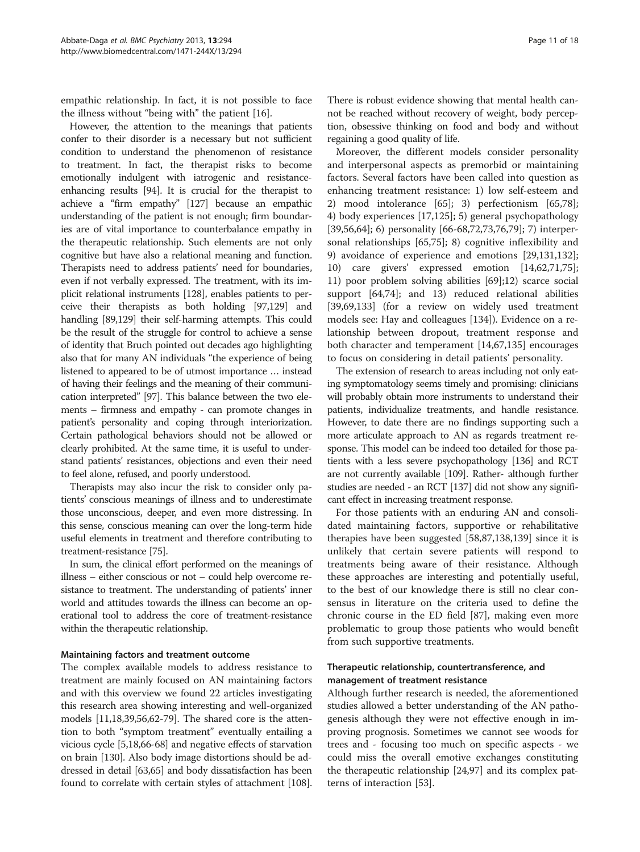empathic relationship. In fact, it is not possible to face the illness without "being with" the patient [\[16](#page-14-0)].

However, the attention to the meanings that patients confer to their disorder is a necessary but not sufficient condition to understand the phenomenon of resistance to treatment. In fact, the therapist risks to become emotionally indulgent with iatrogenic and resistanceenhancing results [\[94\]](#page-15-0). It is crucial for the therapist to achieve a "firm empathy" [[127\]](#page-16-0) because an empathic understanding of the patient is not enough; firm boundaries are of vital importance to counterbalance empathy in the therapeutic relationship. Such elements are not only cognitive but have also a relational meaning and function. Therapists need to address patients' need for boundaries, even if not verbally expressed. The treatment, with its implicit relational instruments [\[128\]](#page-16-0), enables patients to perceive their therapists as both holding [\[97,](#page-15-0)[129\]](#page-16-0) and handling [\[89,](#page-15-0)[129\]](#page-16-0) their self-harming attempts. This could be the result of the struggle for control to achieve a sense of identity that Bruch pointed out decades ago highlighting also that for many AN individuals "the experience of being listened to appeared to be of utmost importance … instead of having their feelings and the meaning of their communication interpreted" [[97](#page-15-0)]. This balance between the two elements – firmness and empathy - can promote changes in patient's personality and coping through interiorization. Certain pathological behaviors should not be allowed or clearly prohibited. At the same time, it is useful to understand patients' resistances, objections and even their need to feel alone, refused, and poorly understood.

Therapists may also incur the risk to consider only patients' conscious meanings of illness and to underestimate those unconscious, deeper, and even more distressing. In this sense, conscious meaning can over the long-term hide useful elements in treatment and therefore contributing to treatment-resistance [\[75](#page-15-0)].

In sum, the clinical effort performed on the meanings of illness – either conscious or not – could help overcome resistance to treatment. The understanding of patients' inner world and attitudes towards the illness can become an operational tool to address the core of treatment-resistance within the therapeutic relationship.

#### Maintaining factors and treatment outcome

The complex available models to address resistance to treatment are mainly focused on AN maintaining factors and with this overview we found 22 articles investigating this research area showing interesting and well-organized models [\[11,](#page-13-0)[18](#page-14-0),[39,56,62-](#page-14-0)[79\]](#page-15-0). The shared core is the attention to both "symptom treatment" eventually entailing a vicious cycle [\[5](#page-13-0)[,18,](#page-14-0)[66-68\]](#page-15-0) and negative effects of starvation on brain [[130](#page-16-0)]. Also body image distortions should be addressed in detail [\[63,65\]](#page-14-0) and body dissatisfaction has been found to correlate with certain styles of attachment [[108](#page-15-0)]. There is robust evidence showing that mental health cannot be reached without recovery of weight, body perception, obsessive thinking on food and body and without regaining a good quality of life.

Moreover, the different models consider personality and interpersonal aspects as premorbid or maintaining factors. Several factors have been called into question as enhancing treatment resistance: 1) low self-esteem and 2) mood intolerance [\[65\]](#page-14-0); 3) perfectionism [\[65](#page-14-0)[,78](#page-15-0)]; 4) body experiences [[17,](#page-14-0)[125\]](#page-16-0); 5) general psychopathology [[39,56,64\]](#page-14-0); 6) personality [\[66-68,72,73,76,79](#page-15-0)]; 7) interpersonal relationships [\[65](#page-14-0)[,75](#page-15-0)]; 8) cognitive inflexibility and 9) avoidance of experience and emotions [[29,](#page-14-0)[131](#page-16-0),[132](#page-16-0)]; 10) care givers' expressed emotion [[14](#page-13-0),[62](#page-14-0)[,71,75](#page-15-0)]; 11) poor problem solving abilities [\[69](#page-15-0)];12) scarce social support [\[64](#page-14-0)[,74](#page-15-0)]; and 13) reduced relational abilities [[39,](#page-14-0)[69,](#page-15-0)[133\]](#page-16-0) (for a review on widely used treatment models see: Hay and colleagues [\[134\]](#page-16-0)). Evidence on a relationship between dropout, treatment response and both character and temperament [[14,](#page-13-0)[67,](#page-15-0)[135](#page-16-0)] encourages to focus on considering in detail patients' personality.

The extension of research to areas including not only eating symptomatology seems timely and promising: clinicians will probably obtain more instruments to understand their patients, individualize treatments, and handle resistance. However, to date there are no findings supporting such a more articulate approach to AN as regards treatment response. This model can be indeed too detailed for those patients with a less severe psychopathology [\[136\]](#page-16-0) and RCT are not currently available [[109\]](#page-15-0). Rather- although further studies are needed - an RCT [\[137](#page-16-0)] did not show any significant effect in increasing treatment response.

For those patients with an enduring AN and consolidated maintaining factors, supportive or rehabilitative therapies have been suggested [\[58](#page-14-0)[,87](#page-15-0)[,138,139\]](#page-16-0) since it is unlikely that certain severe patients will respond to treatments being aware of their resistance. Although these approaches are interesting and potentially useful, to the best of our knowledge there is still no clear consensus in literature on the criteria used to define the chronic course in the ED field [[87\]](#page-15-0), making even more problematic to group those patients who would benefit from such supportive treatments.

## Therapeutic relationship, countertransference, and management of treatment resistance

Although further research is needed, the aforementioned studies allowed a better understanding of the AN pathogenesis although they were not effective enough in improving prognosis. Sometimes we cannot see woods for trees and - focusing too much on specific aspects - we could miss the overall emotive exchanges constituting the therapeutic relationship [[24,](#page-14-0)[97\]](#page-15-0) and its complex patterns of interaction [\[53](#page-14-0)].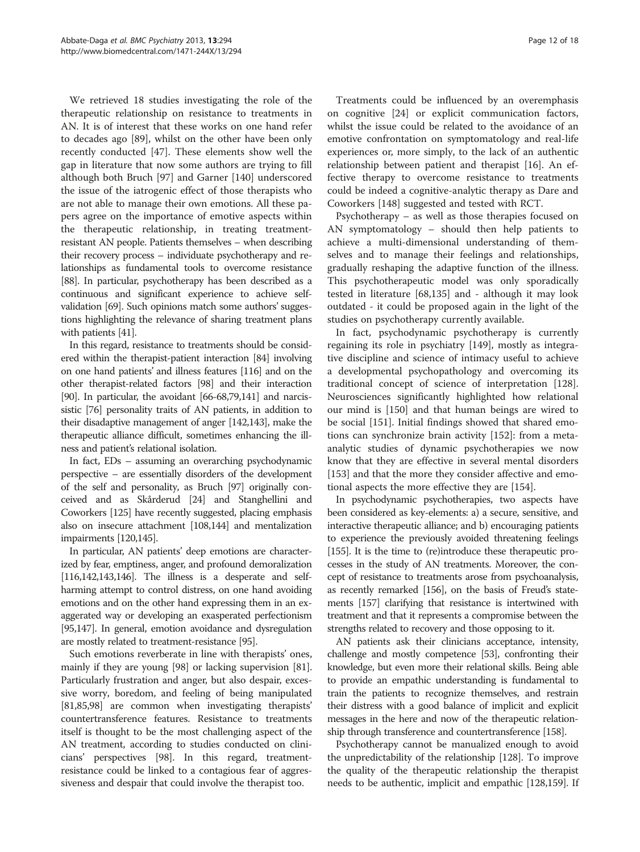We retrieved 18 studies investigating the role of the therapeutic relationship on resistance to treatments in AN. It is of interest that these works on one hand refer to decades ago [\[89](#page-15-0)], whilst on the other have been only recently conducted [\[47](#page-14-0)]. These elements show well the gap in literature that now some authors are trying to fill although both Bruch [[97\]](#page-15-0) and Garner [[140](#page-16-0)] underscored the issue of the iatrogenic effect of those therapists who are not able to manage their own emotions. All these papers agree on the importance of emotive aspects within the therapeutic relationship, in treating treatmentresistant AN people. Patients themselves – when describing their recovery process – individuate psychotherapy and relationships as fundamental tools to overcome resistance [[88](#page-15-0)]. In particular, psychotherapy has been described as a continuous and significant experience to achieve selfvalidation [[69](#page-15-0)]. Such opinions match some authors' suggestions highlighting the relevance of sharing treatment plans with patients [[41](#page-14-0)].

In this regard, resistance to treatments should be considered within the therapist-patient interaction [[84\]](#page-15-0) involving on one hand patients' and illness features [[116\]](#page-15-0) and on the other therapist-related factors [[98](#page-15-0)] and their interaction [[90](#page-15-0)]. In particular, the avoidant [[66](#page-15-0)-[68,79](#page-15-0)[,141\]](#page-16-0) and narcissistic [[76](#page-15-0)] personality traits of AN patients, in addition to their disadaptive management of anger [[142,143](#page-16-0)], make the therapeutic alliance difficult, sometimes enhancing the illness and patient's relational isolation.

In fact, EDs – assuming an overarching psychodynamic perspective – are essentially disorders of the development of the self and personality, as Bruch [\[97](#page-15-0)] originally conceived and as Skårderud [\[24](#page-14-0)] and Stanghellini and Coworkers [\[125](#page-16-0)] have recently suggested, placing emphasis also on insecure attachment [\[108](#page-15-0)[,144](#page-16-0)] and mentalization impairments [\[120,145](#page-16-0)].

In particular, AN patients' deep emotions are characterized by fear, emptiness, anger, and profound demoralization [[116,](#page-15-0)[142,143,146](#page-16-0)]. The illness is a desperate and selfharming attempt to control distress, on one hand avoiding emotions and on the other hand expressing them in an exaggerated way or developing an exasperated perfectionism [[95](#page-15-0)[,147](#page-16-0)]. In general, emotion avoidance and dysregulation are mostly related to treatment-resistance [\[95\]](#page-15-0).

Such emotions reverberate in line with therapists' ones, mainly if they are young [\[98\]](#page-15-0) or lacking supervision [[81](#page-15-0)]. Particularly frustration and anger, but also despair, excessive worry, boredom, and feeling of being manipulated [[81,85,98\]](#page-15-0) are common when investigating therapists' countertransference features. Resistance to treatments itself is thought to be the most challenging aspect of the AN treatment, according to studies conducted on clinicians' perspectives [[98](#page-15-0)]. In this regard, treatmentresistance could be linked to a contagious fear of aggressiveness and despair that could involve the therapist too.

Treatments could be influenced by an overemphasis on cognitive [[24\]](#page-14-0) or explicit communication factors, whilst the issue could be related to the avoidance of an emotive confrontation on symptomatology and real-life experiences or, more simply, to the lack of an authentic relationship between patient and therapist [\[16](#page-14-0)]. An effective therapy to overcome resistance to treatments could be indeed a cognitive-analytic therapy as Dare and Coworkers [[148\]](#page-16-0) suggested and tested with RCT.

Psychotherapy – as well as those therapies focused on AN symptomatology – should then help patients to achieve a multi-dimensional understanding of themselves and to manage their feelings and relationships, gradually reshaping the adaptive function of the illness. This psychotherapeutic model was only sporadically tested in literature [\[68](#page-15-0)[,135](#page-16-0)] and - although it may look outdated - it could be proposed again in the light of the studies on psychotherapy currently available.

In fact, psychodynamic psychotherapy is currently regaining its role in psychiatry [[149](#page-16-0)], mostly as integrative discipline and science of intimacy useful to achieve a developmental psychopathology and overcoming its traditional concept of science of interpretation [[128](#page-16-0)]. Neurosciences significantly highlighted how relational our mind is [\[150\]](#page-16-0) and that human beings are wired to be social [[151\]](#page-16-0). Initial findings showed that shared emotions can synchronize brain activity [[152](#page-16-0)]: from a metaanalytic studies of dynamic psychotherapies we now know that they are effective in several mental disorders [[153\]](#page-16-0) and that the more they consider affective and emotional aspects the more effective they are [[154\]](#page-16-0).

In psychodynamic psychotherapies, two aspects have been considered as key-elements: a) a secure, sensitive, and interactive therapeutic alliance; and b) encouraging patients to experience the previously avoided threatening feelings [[155\]](#page-16-0). It is the time to (re)introduce these therapeutic processes in the study of AN treatments. Moreover, the concept of resistance to treatments arose from psychoanalysis, as recently remarked [[156\]](#page-16-0), on the basis of Freud's statements [\[157\]](#page-16-0) clarifying that resistance is intertwined with treatment and that it represents a compromise between the strengths related to recovery and those opposing to it.

AN patients ask their clinicians acceptance, intensity, challenge and mostly competence [[53](#page-14-0)], confronting their knowledge, but even more their relational skills. Being able to provide an empathic understanding is fundamental to train the patients to recognize themselves, and restrain their distress with a good balance of implicit and explicit messages in the here and now of the therapeutic relationship through transference and countertransference [\[158\]](#page-16-0).

Psychotherapy cannot be manualized enough to avoid the unpredictability of the relationship [[128](#page-16-0)]. To improve the quality of the therapeutic relationship the therapist needs to be authentic, implicit and empathic [\[128,159](#page-16-0)]. If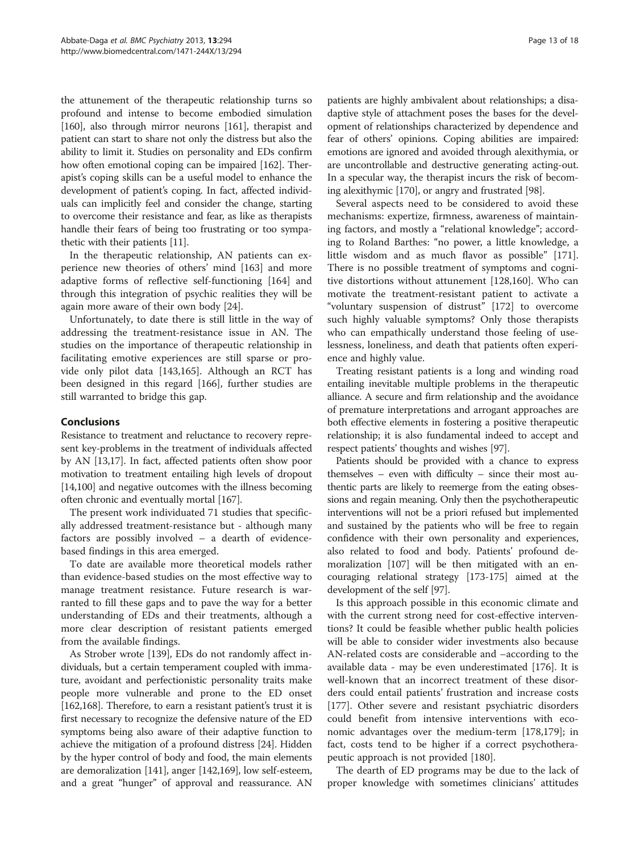the attunement of the therapeutic relationship turns so profound and intense to become embodied simulation [[160](#page-16-0)], also through mirror neurons [\[161](#page-16-0)], therapist and patient can start to share not only the distress but also the ability to limit it. Studies on personality and EDs confirm how often emotional coping can be impaired [[162](#page-16-0)]. Therapist's coping skills can be a useful model to enhance the development of patient's coping. In fact, affected individuals can implicitly feel and consider the change, starting to overcome their resistance and fear, as like as therapists handle their fears of being too frustrating or too sympathetic with their patients [[11\]](#page-13-0).

In the therapeutic relationship, AN patients can experience new theories of others' mind [\[163\]](#page-16-0) and more adaptive forms of reflective self-functioning [\[164](#page-16-0)] and through this integration of psychic realities they will be again more aware of their own body [\[24](#page-14-0)].

Unfortunately, to date there is still little in the way of addressing the treatment-resistance issue in AN. The studies on the importance of therapeutic relationship in facilitating emotive experiences are still sparse or provide only pilot data [\[143,165\]](#page-16-0). Although an RCT has been designed in this regard [\[166\]](#page-17-0), further studies are still warranted to bridge this gap.

## **Conclusions**

Resistance to treatment and reluctance to recovery represent key-problems in the treatment of individuals affected by AN [[13](#page-13-0)[,17\]](#page-14-0). In fact, affected patients often show poor motivation to treatment entailing high levels of dropout [[14](#page-13-0)[,100](#page-15-0)] and negative outcomes with the illness becoming often chronic and eventually mortal [[167](#page-17-0)].

The present work individuated 71 studies that specifically addressed treatment-resistance but - although many factors are possibly involved – a dearth of evidencebased findings in this area emerged.

To date are available more theoretical models rather than evidence-based studies on the most effective way to manage treatment resistance. Future research is warranted to fill these gaps and to pave the way for a better understanding of EDs and their treatments, although a more clear description of resistant patients emerged from the available findings.

As Strober wrote [\[139](#page-16-0)], EDs do not randomly affect individuals, but a certain temperament coupled with immature, avoidant and perfectionistic personality traits make people more vulnerable and prone to the ED onset [[162](#page-16-0)[,168\]](#page-17-0). Therefore, to earn a resistant patient's trust it is first necessary to recognize the defensive nature of the ED symptoms being also aware of their adaptive function to achieve the mitigation of a profound distress [[24](#page-14-0)]. Hidden by the hyper control of body and food, the main elements are demoralization [\[141](#page-16-0)], anger [[142](#page-16-0)[,169\]](#page-17-0), low self-esteem, and a great "hunger" of approval and reassurance. AN patients are highly ambivalent about relationships; a disadaptive style of attachment poses the bases for the development of relationships characterized by dependence and fear of others' opinions. Coping abilities are impaired: emotions are ignored and avoided through alexithymia, or are uncontrollable and destructive generating acting-out. In a specular way, the therapist incurs the risk of becoming alexithymic [\[170\]](#page-17-0), or angry and frustrated [\[98\]](#page-15-0).

Several aspects need to be considered to avoid these mechanisms: expertize, firmness, awareness of maintaining factors, and mostly a "relational knowledge"; according to Roland Barthes: "no power, a little knowledge, a little wisdom and as much flavor as possible" [[171](#page-17-0)]. There is no possible treatment of symptoms and cognitive distortions without attunement [[128,160](#page-16-0)]. Who can motivate the treatment-resistant patient to activate a "voluntary suspension of distrust" [[172](#page-17-0)] to overcome such highly valuable symptoms? Only those therapists who can empathically understand those feeling of uselessness, loneliness, and death that patients often experience and highly value.

Treating resistant patients is a long and winding road entailing inevitable multiple problems in the therapeutic alliance. A secure and firm relationship and the avoidance of premature interpretations and arrogant approaches are both effective elements in fostering a positive therapeutic relationship; it is also fundamental indeed to accept and respect patients' thoughts and wishes [[97](#page-15-0)].

Patients should be provided with a chance to express themselves – even with difficulty – since their most authentic parts are likely to reemerge from the eating obsessions and regain meaning. Only then the psychotherapeutic interventions will not be a priori refused but implemented and sustained by the patients who will be free to regain confidence with their own personality and experiences, also related to food and body. Patients' profound demoralization [[107](#page-15-0)] will be then mitigated with an encouraging relational strategy [\[173-175\]](#page-17-0) aimed at the development of the self [\[97\]](#page-15-0).

Is this approach possible in this economic climate and with the current strong need for cost-effective interventions? It could be feasible whether public health policies will be able to consider wider investments also because AN-related costs are considerable and –according to the available data - may be even underestimated [\[176\]](#page-17-0). It is well-known that an incorrect treatment of these disorders could entail patients' frustration and increase costs [[177\]](#page-17-0). Other severe and resistant psychiatric disorders could benefit from intensive interventions with economic advantages over the medium-term [[178,179\]](#page-17-0); in fact, costs tend to be higher if a correct psychotherapeutic approach is not provided [\[180](#page-17-0)].

The dearth of ED programs may be due to the lack of proper knowledge with sometimes clinicians' attitudes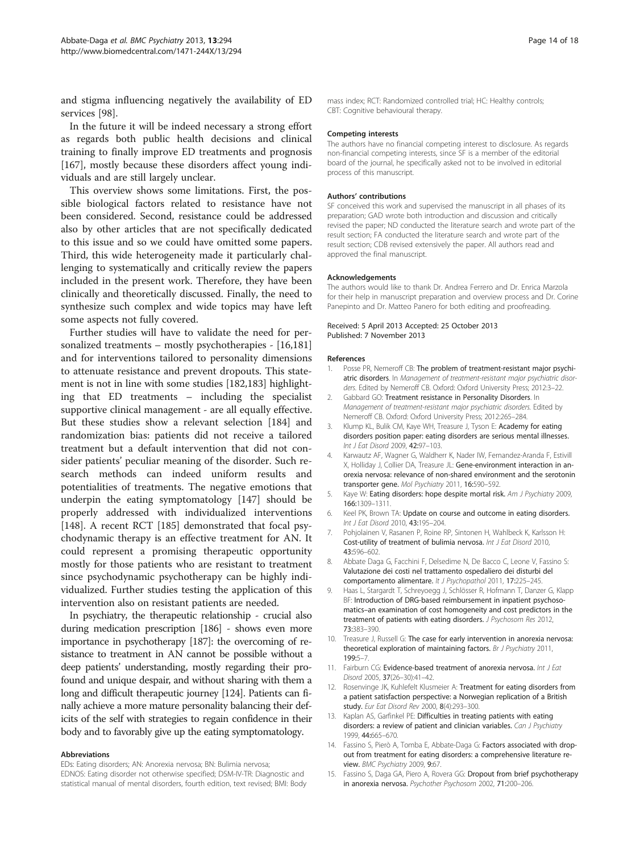<span id="page-13-0"></span>and stigma influencing negatively the availability of ED services [[98](#page-15-0)].

In the future it will be indeed necessary a strong effort as regards both public health decisions and clinical training to finally improve ED treatments and prognosis [[167\]](#page-17-0), mostly because these disorders affect young individuals and are still largely unclear.

This overview shows some limitations. First, the possible biological factors related to resistance have not been considered. Second, resistance could be addressed also by other articles that are not specifically dedicated to this issue and so we could have omitted some papers. Third, this wide heterogeneity made it particularly challenging to systematically and critically review the papers included in the present work. Therefore, they have been clinically and theoretically discussed. Finally, the need to synthesize such complex and wide topics may have left some aspects not fully covered.

Further studies will have to validate the need for personalized treatments – mostly psychotherapies - [[16](#page-14-0),[181](#page-17-0)] and for interventions tailored to personality dimensions to attenuate resistance and prevent dropouts. This statement is not in line with some studies [[182,183](#page-17-0)] highlighting that ED treatments – including the specialist supportive clinical management - are all equally effective. But these studies show a relevant selection [[184](#page-17-0)] and randomization bias: patients did not receive a tailored treatment but a default intervention that did not consider patients' peculiar meaning of the disorder. Such research methods can indeed uniform results and potentialities of treatments. The negative emotions that underpin the eating symptomatology [[147](#page-16-0)] should be properly addressed with individualized interventions [[148\]](#page-16-0). A recent RCT [[185](#page-17-0)] demonstrated that focal psychodynamic therapy is an effective treatment for AN. It could represent a promising therapeutic opportunity mostly for those patients who are resistant to treatment since psychodynamic psychotherapy can be highly individualized. Further studies testing the application of this intervention also on resistant patients are needed.

In psychiatry, the therapeutic relationship - crucial also during medication prescription [\[186](#page-17-0)] - shows even more importance in psychotherapy [\[187](#page-17-0)]: the overcoming of resistance to treatment in AN cannot be possible without a deep patients' understanding, mostly regarding their profound and unique despair, and without sharing with them a long and difficult therapeutic journey [\[124](#page-16-0)]. Patients can finally achieve a more mature personality balancing their deficits of the self with strategies to regain confidence in their body and to favorably give up the eating symptomatology.

#### Abbreviations

EDs: Eating disorders; AN: Anorexia nervosa; BN: Bulimia nervosa;

EDNOS: Eating disorder not otherwise specified; DSM-IV-TR: Diagnostic and statistical manual of mental disorders, fourth edition, text revised; BMI: Body

mass index; RCT: Randomized controlled trial; HC: Healthy controls; CBT: Cognitive behavioural therapy.

#### Competing interests

The authors have no financial competing interest to disclosure. As regards non-financial competing interests, since SF is a member of the editorial board of the journal, he specifically asked not to be involved in editorial process of this manuscript.

#### Authors' contributions

SF conceived this work and supervised the manuscript in all phases of its preparation; GAD wrote both introduction and discussion and critically revised the paper; ND conducted the literature search and wrote part of the result section; FA conducted the literature search and wrote part of the result section; CDB revised extensively the paper. All authors read and approved the final manuscript.

#### Acknowledgements

The authors would like to thank Dr. Andrea Ferrero and Dr. Enrica Marzola for their help in manuscript preparation and overview process and Dr. Corine Panepinto and Dr. Matteo Panero for both editing and proofreading.

#### Received: 5 April 2013 Accepted: 25 October 2013 Published: 7 November 2013

#### References

- 1. Posse PR, Nemeroff CB: The problem of treatment-resistant major psychiatric disorders. In Management of treatment-resistant major psychiatric disorders. Edited by Nemeroff CB. Oxford: Oxford University Press; 2012:3–22.
- 2. Gabbard GO: Treatment resistance in Personality Disorders. In Management of treatment-resistant major psychiatric disorders. Edited by Nemeroff CB. Oxford: Oxford University Press; 2012:265–284.
- 3. Klump KL, Bulik CM, Kaye WH, Treasure J, Tyson E: Academy for eating disorders position paper: eating disorders are serious mental illnesses. Int J Eat Disord 2009, 42:97–103.
- 4. Karwautz AF, Wagner G, Waldherr K, Nader IW, Fernandez-Aranda F, Estivill X, Holliday J, Collier DA, Treasure JL: Gene-environment interaction in anorexia nervosa: relevance of non-shared environment and the serotonin transporter gene. Mol Psychiatry 2011, 16:590–592.
- 5. Kaye W: Eating disorders: hope despite mortal risk. Am J Psychiatry 2009, 166:1309–1311.
- 6. Keel PK, Brown TA: Update on course and outcome in eating disorders. Int J Eat Disord 2010, 43:195–204.
- 7. Pohjolainen V, Rasanen P, Roine RP, Sintonen H, Wahlbeck K, Karlsson H: Cost-utility of treatment of bulimia nervosa. Int J Eat Disord 2010, 43:596–602.
- 8. Abbate Daga G, Facchini F, Delsedime N, De Bacco C, Leone V, Fassino S: Valutazione dei costi nel trattamento ospedaliero dei disturbi del comportamento alimentare. It J Psychopathol 2011, 17:225–245.
- 9. Haas L, Stargardt T, Schreyoegg J, Schlösser R, Hofmann T, Danzer G, Klapp BF: Introduction of DRG-based reimbursement in inpatient psychosomatics–an examination of cost homogeneity and cost predictors in the treatment of patients with eating disorders. J Psychosom Res 2012, 73:383–390.
- 10. Treasure J, Russell G: The case for early intervention in anorexia nervosa: theoretical exploration of maintaining factors. Br J Psychiatry 2011, 199:5–7.
- 11. Fairburn CG: Evidence-based treatment of anorexia nervosa. Int J Eat Disord 2005, 37(26–30):41–42.
- 12. Rosenvinge JK, Kuhlefelt Klusmeier A: Treatment for eating disorders from a patient satisfaction perspective: a Norwegian replication of a British study. Eur Eat Disord Rev 2000, 8(4):293–300.
- 13. Kaplan AS, Garfinkel PE: Difficulties in treating patients with eating disorders: a review of patient and clinician variables. Can J Psychiatry 1999, 44:665–670.
- 14. Fassino S, Pierò A, Tomba E, Abbate-Daga G: Factors associated with dropout from treatment for eating disorders: a comprehensive literature review. BMC Psychiatry 2009, 9:67.
- 15. Fassino S, Daga GA, Piero A, Rovera GG: Dropout from brief psychotherapy in anorexia nervosa. Psychother Psychosom 2002, 71:200–206.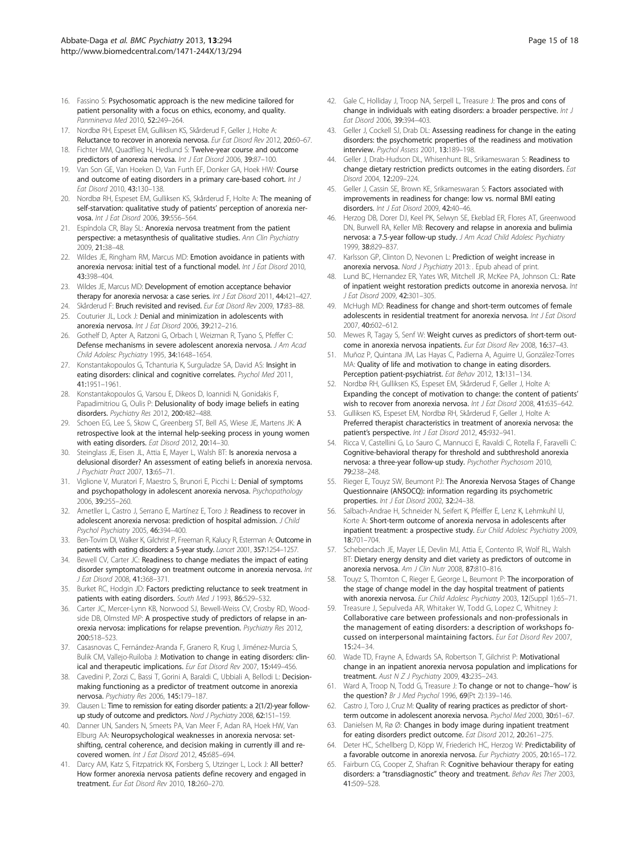- <span id="page-14-0"></span>16. Fassino S: Psychosomatic approach is the new medicine tailored for patient personality with a focus on ethics, economy, and quality. Panminerva Med 2010, 52:249–264.
- 17. Nordbø RH, Espeset EM, Gulliksen KS, Skårderud F, Geller J, Holte A: Reluctance to recover in anorexia nervosa. Eur Eat Disord Rev 2012, 20:60–67.
- 18. Fichter MM, Quadflieg N, Hedlund S: Twelve-year course and outcome predictors of anorexia nervosa. Int J Eat Disord 2006, 39:87–100.
- 19. Van Son GE, Van Hoeken D, Van Furth EF, Donker GA, Hoek HW: Course and outcome of eating disorders in a primary care-based cohort. Int J Eat Disord 2010, 43:130–138.
- 20. Nordbø RH, Espeset EM, Gulliksen KS, Skårderud F, Holte A: The meaning of self-starvation: qualitative study of patients' perception of anorexia nervosa. Int J Eat Disord 2006, 39:556–564.
- 21. Espíndola CR, Blay SL: Anorexia nervosa treatment from the patient perspective: a metasynthesis of qualitative studies. Ann Clin Psychiatry 2009, 21:38–48.
- 22. Wildes JE, Ringham RM, Marcus MD: Emotion avoidance in patients with anorexia nervosa: initial test of a functional model. Int J Eat Disord 2010, 43:398–404.
- 23. Wildes JE, Marcus MD: Development of emotion acceptance behavior therapy for anorexia nervosa: a case series. Int J Eat Disord 2011, 44:421-427.
- 24. Skårderud F: Bruch revisited and revised. Eur Eat Disord Rev 2009, 17:83-88.
- 25. Couturier JL, Lock J: Denial and minimization in adolescents with anorexia nervosa. Int J Eat Disord 2006, 39:212–216.
- 26. Gothelf D, Apter A, Ratzoni G, Orbach I, Weizman R, Tyano S, Pfeffer C: Defense mechanisms in severe adolescent anorexia nervosa. J Am Acad Child Adolesc Psychiatry 1995, 34:1648–1654.
- 27. Konstantakopoulos G, Tchanturia K, Surguladze SA, David AS: Insight in eating disorders: clinical and cognitive correlates. Psychol Med 2011, 41:1951–1961.
- 28. Konstantakopoulos G, Varsou E, Dikeos D, Ioannidi N, Gonidakis F, Papadimitriou G, Oulis P: Delusionality of body image beliefs in eating disorders. Psychiatry Res 2012, 200:482-488.
- 29. Schoen EG, Lee S, Skow C, Greenberg ST, Bell AS, Wiese JE, Martens JK: A retrospective look at the internal help-seeking process in young women with eating disorders. Eat Disord 2012, 20:14–30.
- 30. Steinglass JE, Eisen JL, Attia E, Mayer L, Walsh BT: Is anorexia nervosa a delusional disorder? An assessment of eating beliefs in anorexia nervosa. J Psychiatr Pract 2007, 13:65–71.
- 31. Viglione V, Muratori F, Maestro S, Brunori E, Picchi L: Denial of symptoms and psychopathology in adolescent anorexia nervosa. Psychopathology 2006, 39:255–260.
- 32. Ametller L, Castro J, Serrano E, Martínez E, Toro J: Readiness to recover in adolescent anorexia nervosa: prediction of hospital admission. J Child Psychol Psychiatry 2005, 46:394–400.
- 33. Ben-Tovim DI, Walker K, Gilchrist P, Freeman R, Kalucy R, Esterman A: Outcome in patients with eating disorders: a 5-year study. Lancet 2001, 357:1254-1257.
- 34. Bewell CV, Carter JC: Readiness to change mediates the impact of eating disorder symptomatology on treatment outcome in anorexia nervosa. Int J Eat Disord 2008, 41:368–371.
- 35. Burket RC, Hodgin JD: Factors predicting reluctance to seek treatment in patients with eating disorders. South Med J 1993, 86:529-532.
- 36. Carter JC, Mercer-Lynn KB, Norwood SJ, Bewell-Weiss CV, Crosby RD, Woodside DB, Olmsted MP: A prospective study of predictors of relapse in anorexia nervosa: implications for relapse prevention. Psychiatry Res 2012, 200:518–523.
- 37. Casasnovas C, Fernández-Aranda F, Granero R, Krug I, Jiménez-Murcia S, Bulik CM, Vallejo-Ruiloba J: Motivation to change in eating disorders: clinical and therapeutic implications. Eur Eat Disord Rev 2007, 15:449–456.
- 38. Cavedini P, Zorzi C, Bassi T, Gorini A, Baraldi C, Ubbiali A, Bellodi L: Decisionmaking functioning as a predictor of treatment outcome in anorexia nervosa. Psychiatry Res 2006, 145:179–187.
- 39. Clausen L: Time to remission for eating disorder patients: a 2(1/2)-year followup study of outcome and predictors. Nord J Psychiatry 2008, 62:151-159.
- 40. Danner UN, Sanders N, Smeets PA, Van Meer F, Adan RA, Hoek HW, Van Elburg AA: Neuropsychological weaknesses in anorexia nervosa: setshifting, central coherence, and decision making in currently ill and recovered women. Int J Eat Disord 2012, 45:685-694.
- 41. Darcy AM, Katz S, Fitzpatrick KK, Forsberg S, Utzinger L, Lock J: All better? How former anorexia nervosa patients define recovery and engaged in treatment. Eur Eat Disord Rev 2010, 18:260–270.
- 42. Gale C, Holliday J, Troop NA, Serpell L, Treasure J: The pros and cons of change in individuals with eating disorders: a broader perspective. Int J Eat Disord 2006, 39:394–403.
- 43. Geller J, Cockell SJ, Drab DL: Assessing readiness for change in the eating disorders: the psychometric properties of the readiness and motivation interview. Psychol Assess 2001, 13:189–198.
- 44. Geller J, Drab-Hudson DL, Whisenhunt BL, Srikameswaran S: Readiness to change dietary restriction predicts outcomes in the eating disorders. Eat Disord 2004, 12:209–224.
- 45. Geller J, Cassin SE, Brown KE, Srikameswaran S: Factors associated with improvements in readiness for change: low vs. normal BMI eating disorders. Int J Fat Disord 2009, 42:40-46.
- 46. Herzog DB, Dorer DJ, Keel PK, Selwyn SE, Ekeblad ER, Flores AT, Greenwood DN, Burwell RA, Keller MB: Recovery and relapse in anorexia and bulimia nervosa: a 7.5-year follow-up study. J Am Acad Child Adolesc Psychiatry 1999, 38:829–837.
- 47. Karlsson GP, Clinton D, Nevonen L: Prediction of weight increase in anorexia nervosa. Nord J Psychiatry 2013: . Epub ahead of print.
- 48. Lund BC, Hernandez ER, Yates WR, Mitchell JR, McKee PA, Johnson CL: Rate of inpatient weight restoration predicts outcome in anorexia nervosa. Int J Eat Disord 2009, 42:301–305.
- McHugh MD: Readiness for change and short-term outcomes of female adolescents in residential treatment for anorexia nervosa. Int J Eat Disord 2007, 40:602–612.
- 50. Mewes R, Tagay S, Senf W: Weight curves as predictors of short-term outcome in anorexia nervosa inpatients. Eur Eat Disord Rev 2008, 16:37–43.
- 51. Muñoz P, Quintana JM, Las Hayas C, Padierna A, Aguirre U, González-Torres MA: Quality of life and motivation to change in eating disorders. Perception patient-psychiatrist. Eat Behav 2012, 13:131-134.
- 52. Nordbø RH, Gulliksen KS, Espeset EM, Skårderud F, Geller J, Holte A: Expanding the concept of motivation to change: the content of patients' wish to recover from anorexia nervosa. Int J Eat Disord 2008, 41:635-642.
- 53. Gulliksen KS, Espeset EM, Nordbø RH, Skårderud F, Geller J, Holte A: Preferred therapist characteristics in treatment of anorexia nervosa: the patient's perspective. Int J Eat Disord 2012, 45:932-941.
- 54. Ricca V, Castellini G, Lo Sauro C, Mannucci E, Ravaldi C, Rotella F, Faravelli C: Cognitive-behavioral therapy for threshold and subthreshold anorexia nervosa: a three-year follow-up study. Psychother Psychosom 2010, 79:238–248.
- 55. Rieger E, Touyz SW, Beumont PJ: The Anorexia Nervosa Stages of Change Questionnaire (ANSOCQ): information regarding its psychometric properties. Int J Eat Disord 2002, 32:24-38.
- Salbach-Andrae H, Schneider N, Seifert K, Pfeiffer E, Lenz K, Lehmkuhl U, Korte A: Short-term outcome of anorexia nervosa in adolescents after inpatient treatment: a prospective study. Eur Child Adolesc Psychiatry 2009, 18:701–704.
- 57. Schebendach JE, Mayer LE, Devlin MJ, Attia E, Contento IR, Wolf RL, Walsh BT: Dietary energy density and diet variety as predictors of outcome in anorexia nervosa. Am J Clin Nutr 2008, 87:810–816.
- Touyz S, Thornton C, Rieger E, George L, Beumont P: The incorporation of the stage of change model in the day hospital treatment of patients with anorexia nervosa. Eur Child Adolesc Psychiatry 2003, 12(Suppl 1):65–71.
- 59. Treasure J, Sepulveda AR, Whitaker W, Todd G, Lopez C, Whitney J: Collaborative care between professionals and non-professionals in the management of eating disorders: a description of workshops focussed on interpersonal maintaining factors. Eur Eat Disord Rev 2007, 15:24–34.
- 60. Wade TD, Frayne A, Edwards SA, Robertson T, Gilchrist P: Motivational change in an inpatient anorexia nervosa population and implications for treatment. Aust  $N Z J$  Psychiatry 2009, 43:235-243.
- 61. Ward A, Troop N, Todd G, Treasure J: To change or not to change–'how' is the question? Br J Med Psychol 1996, 69(Pt 2):139-146.
- 62. Castro J, Toro J, Cruz M: Quality of rearing practices as predictor of shortterm outcome in adolescent anorexia nervosa. Psychol Med 2000, 30:61-67.
- 63. Danielsen M, Rø Ø: Changes in body image during inpatient treatment for eating disorders predict outcome. Eat Disord 2012, 20:261–275.
- 64. Deter HC, Schellberg D, Köpp W, Friederich HC, Herzog W: Predictability of a favorable outcome in anorexia nervosa. Eur Psychiatry 2005, 20:165-172.
- 65. Fairburn CG, Cooper Z, Shafran R: Cognitive behaviour therapy for eating disorders: a "transdiagnostic" theory and treatment. Behav Res Ther 2003, 41:509–528.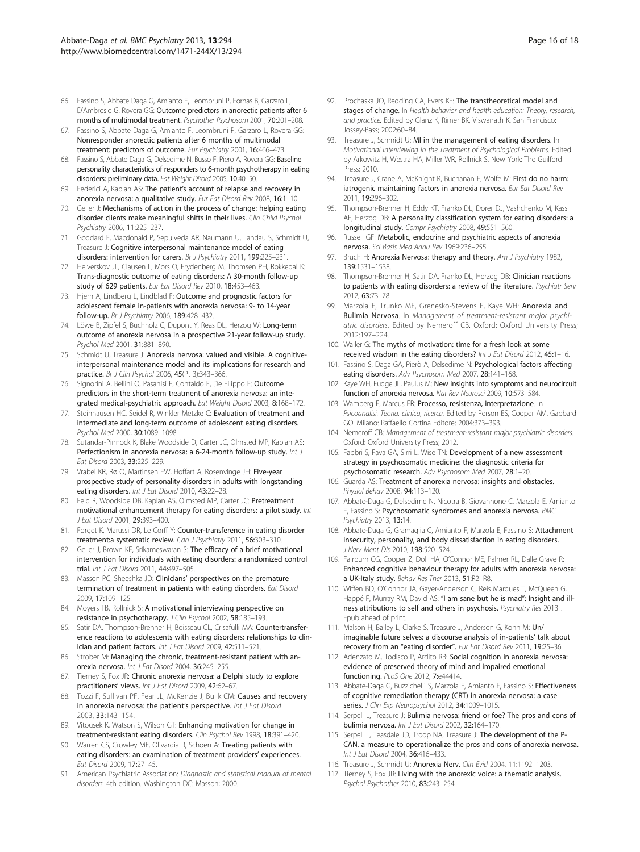- <span id="page-15-0"></span>66. Fassino S, Abbate Daga G, Amianto F, Leombruni P, Fornas B, Garzaro L, D'Ambrosio G, Rovera GG: Outcome predictors in anorectic patients after 6 months of multimodal treatment. Psychother Psychosom 2001, 70:201–208.
- 67. Fassino S, Abbate Daga G, Amianto F, Leombruni P, Garzaro L, Rovera GG: Nonresponder anorectic patients after 6 months of multimodal treatment: predictors of outcome. Eur Psychiatry 2001, 16:466–473.
- 68. Fassino S, Abbate Daga G, Delsedime N, Busso F, Piero A, Rovera GG: Baseline personality characteristics of responders to 6-month psychotherapy in eating disorders: preliminary data. Eat Weight Disord 2005, 10:40–50.
- 69. Federici A, Kaplan AS: The patient's account of relapse and recovery in anorexia nervosa: a qualitative study. Eur Eat Disord Rev 2008, 16:1–10.
- 70. Geller J: Mechanisms of action in the process of change: helping eating disorder clients make meaningful shifts in their lives. Clin Child Psychol Psychiatry 2006, 11:225–237.
- 71. Goddard E, Macdonald P, Sepulveda AR, Naumann U, Landau S, Schmidt U, Treasure J: Cognitive interpersonal maintenance model of eating disorders: intervention for carers. Br J Psychiatry 2011, 199:225-231.
- 72. Helverskov JL, Clausen L, Mors O, Frydenberg M, Thomsen PH, Rokkedal K: Trans-diagnostic outcome of eating disorders: A 30-month follow-up study of 629 patients. Eur Eat Disord Rev 2010, 18:453–463.
- 73. Hjern A, Lindberg L, Lindblad F: Outcome and prognostic factors for adolescent female in-patients with anorexia nervosa: 9- to 14-year follow-up. Br J Psychiatry 2006, 189:428–432.
- 74. Löwe B, Zipfel S, Buchholz C, Dupont Y, Reas DL, Herzog W: Long-term outcome of anorexia nervosa in a prospective 21-year follow-up study. Psychol Med 2001, 31:881–890.
- 75. Schmidt U, Treasure J: Anorexia nervosa: valued and visible. A cognitiveinterpersonal maintenance model and its implications for research and practice. Br J Clin Psychol 2006, 45(Pt 3):343–366.
- 76. Signorini A, Bellini O, Pasanisi F, Contaldo F, De Filippo E: Outcome predictors in the short-term treatment of anorexia nervosa: an integrated medical-psychiatric approach. Eat Weight Disord 2003, 8:168–172.
- 77. Steinhausen HC, Seidel R, Winkler Metzke C: Evaluation of treatment and intermediate and long-term outcome of adolescent eating disorders. Psychol Med 2000, 30:1089–1098.
- 78. Sutandar-Pinnock K, Blake Woodside D, Carter JC, Olmsted MP, Kaplan AS: Perfectionism in anorexia nervosa: a 6-24-month follow-up study. Int J Eat Disord 2003, 33:225–229.
- 79. Vrabel KR, Rø O, Martinsen EW, Hoffart A, Rosenvinge JH: Five-year prospective study of personality disorders in adults with longstanding eating disorders. Int J Eat Disord 2010, 43:22-28.
- 80. Feld R, Woodside DB, Kaplan AS, Olmsted MP, Carter JC: Pretreatment motivational enhancement therapy for eating disorders: a pilot study. Int J Eat Disord 2001, 29:393–400.
- 81. Forget K, Marussi DR, Le Corff Y: Counter-transference in eating disorder treatment:a systematic review. Can J Psychiatry 2011, 56:303-310.
- 82. Geller J, Brown KE, Srikameswaran S: The efficacy of a brief motivational intervention for individuals with eating disorders: a randomized control trial. Int J Eat Disord 2011, 44:497–505.
- 83. Masson PC, Sheeshka JD: Clinicians' perspectives on the premature termination of treatment in patients with eating disorders. Eat Disord 2009, 17:109–125.
- 84. Moyers TB, Rollnick S: A motivational interviewing perspective on resistance in psychotherapy. J Clin Psychol 2002, 58:185–193.
- 85. Satir DA, Thompson-Brenner H, Boisseau CL, Crisafulli MA: Countertransference reactions to adolescents with eating disorders: relationships to clinician and patient factors. Int J Eat Disord 2009, 42:511-521
- 86. Strober M: Managing the chronic, treatment-resistant patient with anorexia nervosa. Int J Eat Disord 2004, 36:245–255.
- 87. Tierney S, Fox JR: Chronic anorexia nervosa: a Delphi study to explore practitioners' views. Int J Eat Disord 2009, 42:62-67.
- 88. Tozzi F, Sullivan PF, Fear JL, McKenzie J, Bulik CM: Causes and recovery in anorexia nervosa: the patient's perspective. Int J Eat Disord 2003, 33:143–154.
- 89. Vitousek K, Watson S, Wilson GT: Enhancing motivation for change in treatment-resistant eating disorders. Clin Psychol Rev 1998, 18:391–420.
- 90. Warren CS, Crowley ME, Olivardia R, Schoen A: Treating patients with eating disorders: an examination of treatment providers' experiences. Eat Disord 2009, 17:27–45.
- 91. American Psychiatric Association: Diagnostic and statistical manual of mental disorders. 4th edition. Washington DC: Masson; 2000.
- 92. Prochaska JO, Redding CA, Evers KE: The transtheoretical model and stages of change. In Health behavior and health education: Theory, research, and practice. Edited by Glanz K, Rimer BK, Viswanath K. San Francisco: Jossey-Bass; 2002:60–84.
- 93. Treasure J, Schmidt U: MI in the management of eating disorders. In Motivational Interviewing in the Treatment of Psychological Problems. Edited by Arkowitz H, Westra HA, Miller WR, Rollnick S. New York: The Guilford Press; 2010.
- Treasure J, Crane A, McKnight R, Buchanan E, Wolfe M: First do no harm: iatrogenic maintaining factors in anorexia nervosa. Eur Eat Disord Rev 2011, 19:296–302.
- 95. Thompson-Brenner H, Eddy KT, Franko DL, Dorer DJ, Vashchenko M, Kass AE, Herzog DB: A personality classification system for eating disorders: a longitudinal study. Compr Psychiatry 2008, 49:551–560.
- 96. Russell GF: Metabolic, endocrine and psychiatric aspects of anorexia nervosa. Sci Basis Med Annu Rev 1969:236–255.
- 97. Bruch H: Anorexia Nervosa: therapy and theory. Am J Psychiatry 1982, 139:1531–1538.
- 98. Thompson-Brenner H, Satir DA, Franko DL, Herzog DB: Clinician reactions to patients with eating disorders: a review of the literature. Psychiatr Serv 2012, 63:73–78.
- Marzola E, Trunko ME, Grenesko-Stevens E, Kaye WH: Anorexia and Bulimia Nervosa. In Management of treatment-resistant major psychiatric disorders. Edited by Nemeroff CB. Oxford: Oxford University Press; 2012:197–224.
- 100. Waller G: The myths of motivation: time for a fresh look at some received wisdom in the eating disorders? Int J Eat Disord 2012, 45:1–16.
- 101. Fassino S, Daga GA, Pierò A, Delsedime N: Psychological factors affecting eating disorders. Adv Psychosom Med 2007, 28:141–168.
- 102. Kaye WH, Fudge JL, Paulus M: New insights into symptoms and neurocircuit function of anorexia nervosa. Nat Rev Neurosci 2009, 10:573–584.
- 103. Wamberg E, Marcus ER: Processo, resistenza, interpretazione. In Psicoanalisi. Teoria, clinica, ricerca. Edited by Person ES, Cooper AM, Gabbard GO. Milano: Raffaello Cortina Editore; 2004:373–393.
- 104. Nemeroff CB: Management of treatment-resistant major psychiatric disorders. Oxford: Oxford University Press; 2012.
- 105. Fabbri S, Fava GA, Sirri L, Wise TN: Development of a new assessment strategy in psychosomatic medicine: the diagnostic criteria for psychosomatic research. Adv Psychosom Med 2007, 28:1–20.
- 106. Guarda AS: Treatment of anorexia nervosa: insights and obstacles. Physiol Behav 2008, 94:113–120.
- 107. Abbate-Daga G, Delsedime N, Nicotra B, Giovannone C, Marzola E, Amianto F, Fassino S: Psychosomatic syndromes and anorexia nervosa. BMC Psychiatry 2013, 13:14.
- 108. Abbate-Daga G, Gramaglia C, Amianto F, Marzola E, Fassino S: Attachment insecurity, personality, and body dissatisfaction in eating disorders. J Nerv Ment Dis 2010, 198:520-524.
- 109. Fairburn CG, Cooper Z, Doll HA, O'Connor ME, Palmer RL, Dalle Grave R: Enhanced cognitive behaviour therapy for adults with anorexia nervosa: a UK-Italy study. Behav Res Ther 2013, 51:R2–R8.
- 110. Wiffen BD, O'Connor JA, Gayer-Anderson C, Reis Marques T, McQueen G, Happé F, Murray RM, David AS: "I am sane but he is mad": Insight and illness attributions to self and others in psychosis. Psychiatry Res 2013: Epub ahead of print.
- 111. Malson H, Bailey L, Clarke S, Treasure J, Anderson G, Kohn M: Un/ imaginable future selves: a discourse analysis of in-patients' talk about recovery from an "eating disorder". Eur Eat Disord Rev 2011, 19:25–36.
- 112. Adenzato M, Todisco P, Ardito RB: Social cognition in anorexia nervosa: evidence of preserved theory of mind and impaired emotional functioning. PLoS One 2012, 7:e44414.
- 113. Abbate-Daga G, Buzzichelli S, Marzola E, Amianto F, Fassino S: Effectiveness of cognitive remediation therapy (CRT) in anorexia nervosa: a case series. J Clin Exp Neuropsychol 2012, 34:1009-1015.
- 114. Serpell L, Treasure J: Bulimia nervosa: friend or foe? The pros and cons of bulimia nervosa. Int J Eat Disord 2002, 32:164–170.
- 115. Serpell L, Teasdale JD, Troop NA, Treasure J: The development of the P-CAN, a measure to operationalize the pros and cons of anorexia nervosa. Int J Eat Disord 2004, 36:416–433.
- 116. Treasure J, Schmidt U: Anorexia Nerv. Clin Evid 2004, 11:1192-1203.
- 117. Tierney S, Fox JR: Living with the anorexic voice: a thematic analysis. Psychol Psychother 2010, 83:243–254.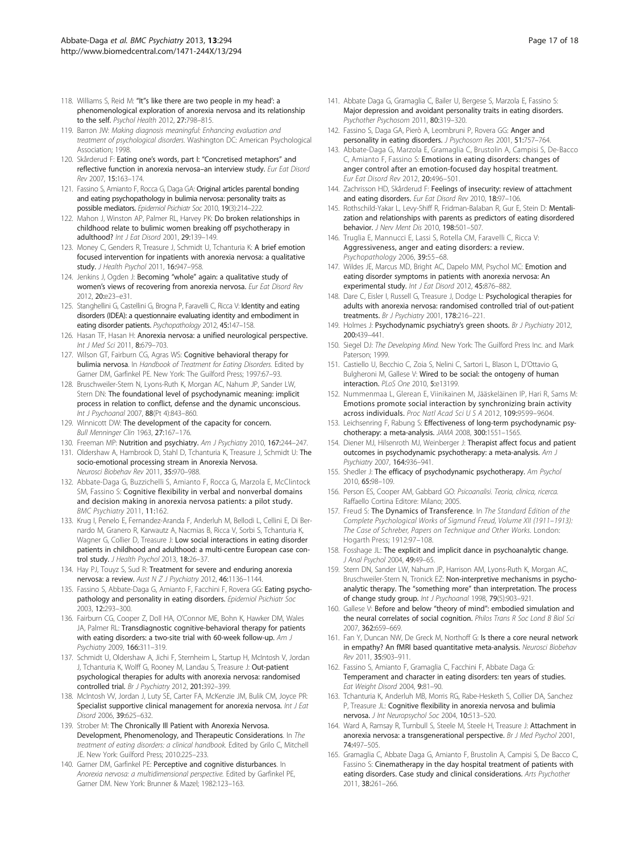- <span id="page-16-0"></span>118. Williams S, Reid M: "It"s like there are two people in my head': a phenomenological exploration of anorexia nervosa and its relationship to the self. Psychol Health 2012, 27:798–815.
- 119. Barron JW: Making diagnosis meaningful: Enhancing evaluation and treatment of psychological disorders. Washington DC: American Psychological Association; 1998.
- 120. Skårderud F: Eating one's words, part I: "Concretised metaphors" and reflective function in anorexia nervosa–an interview study. Eur Eat Disord Rev 2007, 15:163–174.
- 121. Fassino S, Amianto F, Rocca G, Daga GA: Original articles parental bonding and eating psychopathology in bulimia nervosa: personality traits as possible mediators. Epidemiol Psichiatr Soc 2010, 19(3):214–222.
- 122. Mahon J, Winston AP, Palmer RL, Harvey PK: Do broken relationships in childhood relate to bulimic women breaking off psychotherapy in adulthood? Int J Eat Disord 2001, 29:139–149.
- 123. Money C, Genders R, Treasure J, Schmidt U, Tchanturia K: A brief emotion focused intervention for inpatients with anorexia nervosa: a qualitative study. J Health Psychol 2011, 16:947-958.
- 124. Jenkins J, Ogden J: Becoming "whole" again: a qualitative study of women's views of recovering from anorexia nervosa. Eur Eat Disord Rev 2012, 20:e23–e31.
- 125. Stanghellini G, Castellini G, Brogna P, Faravelli C, Ricca V: Identity and eating disorders (IDEA): a questionnaire evaluating identity and embodiment in eating disorder patients. Psychopathology 2012, 45:147-158.
- 126. Hasan TF, Hasan H: Anorexia nervosa: a unified neurological perspective. Int J Med Sci 2011, 8:679–703.
- 127. Wilson GT, Fairburn CG, Agras WS: Cognitive behavioral therapy for bulimia nervosa. In Handbook of Treatment for Eating Disorders. Edited by Garner DM, Garfinkel PE. New York: The Guilford Press; 1997:67–93.
- 128. Bruschweiler-Stern N, Lyons-Ruth K, Morgan AC, Nahum JP, Sander LW, Stern DN: The foundational level of psychodynamic meaning: implicit process in relation to conflict, defense and the dynamic unconscious. Int J Psychoanal 2007, 88(Pt 4):843–860.
- 129. Winnicott DW: The development of the capacity for concern. Bull Menninger Clin 1963, 27:167–176.
- 130. Freeman MP: Nutrition and psychiatry. Am J Psychiatry 2010, 167:244-247.
- 131. Oldershaw A, Hambrook D, Stahl D, Tchanturia K, Treasure J, Schmidt U: The socio-emotional processing stream in Anorexia Nervosa. Neurosci Biobehav Rev 2011, 35:970–988.
- 132. Abbate-Daga G, Buzzichelli S, Amianto F, Rocca G, Marzola E, McClintock SM, Fassino S: Cognitive flexibility in verbal and nonverbal domains and decision making in anorexia nervosa patients: a pilot study. BMC Psychiatry 2011, 11:162.
- 133. Krug I, Penelo E, Fernandez-Aranda F, Anderluh M, Bellodi L, Cellini E, Di Bernardo M, Granero R, Karwautz A, Nacmias B, Ricca V, Sorbi S, Tchanturia K, Wagner G, Collier D, Treasure J: Low social interactions in eating disorder patients in childhood and adulthood: a multi-centre European case control study. J Health Psychol 2013, 18:26-37.
- 134. Hay PJ, Touyz S, Sud R: Treatment for severe and enduring anorexia nervosa: a review. Aust N Z J Psychiatry 2012, 46:1136-1144
- 135. Fassino S, Abbate-Daga G, Amianto F, Facchini F, Rovera GG: Eating psychopathology and personality in eating disorders. Epidemiol Psichiatr Soc 2003, 12:293–300.
- 136. Fairburn CG, Cooper Z, Doll HA, O'Connor ME, Bohn K, Hawker DM, Wales JA, Palmer RL: Transdiagnostic cognitive-behavioral therapy for patients with eating disorders: a two-site trial with 60-week follow-up. Am J Psychiatry 2009, 166:311–319.
- 137. Schmidt U, Oldershaw A, Jichi F, Sternheim L, Startup H, McIntosh V, Jordan J, Tchanturia K, Wolff G, Rooney M, Landau S, Treasure J: Out-patient psychological therapies for adults with anorexia nervosa: randomised controlled trial. Br J Psychiatry 2012, 201:392–399.
- 138. McIntosh VV, Jordan J, Luty SE, Carter FA, McKenzie JM, Bulik CM, Joyce PR: Specialist supportive clinical management for anorexia nervosa. Int J Eat Disord 2006, 39:625–632.
- 139. Strober M: The Chronically III Patient with Anorexia Nervosa. Development, Phenomenology, and Therapeutic Considerations. In The treatment of eating disorders: a clinical handbook. Edited by Grilo C, Mitchell JE. New York: Guilford Press; 2010:225–233.
- 140. Garner DM, Garfinkel PE: Perceptive and cognitive disturbances. In Anorexia nervosa: a multidimensional perspective. Edited by Garfinkel PE, Garner DM. New York: Brunner & Mazel; 1982:123–163.
- 141. Abbate Daga G, Gramaglia C, Bailer U, Bergese S, Marzola E, Fassino S: Major depression and avoidant personality traits in eating disorders. Psychother Psychosom 2011, 80:319–320.
- 142. Fassino S, Daga GA, Pierò A, Leombruni P, Rovera GG: Anger and personality in eating disorders. J Psychosom Res 2001, 51:757–764.
- 143. Abbate-Daga G, Marzola E, Gramaglia C, Brustolin A, Campisi S, De-Bacco C, Amianto F, Fassino S: Emotions in eating disorders: changes of anger control after an emotion-focused day hospital treatment. Eur Eat Disord Rev 2012, 20:496–501.
- 144. Zachrisson HD, Skårderud F: Feelings of insecurity: review of attachment and eating disorders. Eur Eat Disord Rev 2010, 18:97–106.
- 145. Rothschild-Yakar L, Levy-Shiff R, Fridman-Balaban R, Gur E, Stein D: Mentalization and relationships with parents as predictors of eating disordered behavior. J Nerv Ment Dis 2010, 198:501–507.
- 146. Truglia E, Mannucci E, Lassi S, Rotella CM, Faravelli C, Ricca V: Aggressiveness, anger and eating disorders: a review. Psychopathology 2006, 39:55-68.
- 147. Wildes JE, Marcus MD, Bright AC, Dapelo MM, Psychol MC: Emotion and eating disorder symptoms in patients with anorexia nervosa: An experimental study. Int J Eat Disord 2012, 45:876–882.
- 148. Dare C, Eisler I, Russell G, Treasure J, Dodge L: Psychological therapies for adults with anorexia nervosa: randomised controlled trial of out-patient treatments. Br J Psychiatry 2001, 178:216–221.
- 149. Holmes J: Psychodynamic psychiatry's green shoots. Br J Psychiatry 2012, 200:439–441.
- 150. Siegel DJ: The Developing Mind. New York: The Guilford Press Inc. and Mark Paterson; 1999.
- 151. Castiello U, Becchio C, Zoia S, Nelini C, Sartori L, Blason L, D'Ottavio G, Bulgheroni M, Gallese V: Wired to be social: the ontogeny of human interaction. PLoS One 2010, 5:e13199.
- 152. Nummenmaa L, Glerean E, Viinikainen M, Jääskeläinen IP, Hari R, Sams M: Emotions promote social interaction by synchronizing brain activity across individuals. Proc Natl Acad Sci U S A 2012, 109:9599–9604.
- 153. Leichsenring F, Rabung S: Effectiveness of long-term psychodynamic psychotherapy: a meta-analysis. JAMA 2008, 300:1551–1565.
- 154. Diener MJ, Hilsenroth MJ, Weinberger J: Therapist affect focus and patient outcomes in psychodynamic psychotherapy: a meta-analysis. Am J Psychiatry 2007, 164:936–941.
- 155. Shedler J: The efficacy of psychodynamic psychotherapy. Am Psychol 2010, 65:98–109.
- 156. Person ES, Cooper AM, Gabbard GO: Psicoanalisi. Teoria, clinica, ricerca. Raffaello Cortina Editore: Milano; 2005.
- 157. Freud S: The Dynamics of Transference. In The Standard Edition of the Complete Psychological Works of Sigmund Freud, Volume XII (1911–1913): The Case of Schreber, Papers on Technique and Other Works. London: Hogarth Press; 1912:97–108.
- 158. Fosshage JL: The explicit and implicit dance in psychoanalytic change. J Anal Psychol 2004, 49:49–65.
- 159. Stern DN, Sander LW, Nahum JP, Harrison AM, Lyons-Ruth K, Morgan AC, Bruschweiler-Stern N, Tronick EZ: Non-interpretive mechanisms in psychoanalytic therapy. The "something more" than interpretation. The process of change study group. Int J Psychoanal 1998, 79(5):903–921.
- 160. Gallese V: Before and below "theory of mind": embodied simulation and the neural correlates of social cognition. Philos Trans R Soc Lond B Biol Sci 2007, 362:659–669.
- 161. Fan Y, Duncan NW, De Greck M, Northoff G: Is there a core neural network in empathy? An fMRI based quantitative meta-analysis. Neurosci Biobehav Rev 2011, 35:903–911.
- 162. Fassino S, Amianto F, Gramaglia C, Facchini F, Abbate Daga G: Temperament and character in eating disorders: ten years of studies. Eat Weight Disord 2004, 9:81–90.
- 163. Tchanturia K, Anderluh MB, Morris RG, Rabe-Hesketh S, Collier DA, Sanchez P, Treasure JL: Cognitive flexibility in anorexia nervosa and bulimia nervosa. J Int Neuropsychol Soc 2004, 10:513–520.
- 164. Ward A, Ramsay R, Turnbull S, Steele M, Steele H, Treasure J: Attachment in anorexia nervosa: a transgenerational perspective. Br J Med Psychol 2001, 74:497–505.
- 165. Gramaglia C, Abbate Daga G, Amianto F, Brustolin A, Campisi S, De Bacco C, Fassino S: Cinematherapy in the day hospital treatment of patients with eating disorders. Case study and clinical considerations. Arts Psychother 2011, 38:261–266.